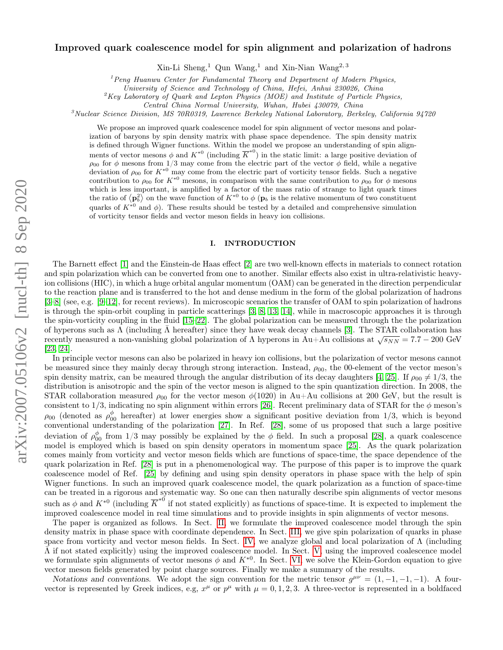# arXiv:2007.05106v2 [nucl-th] 8 Sep 2020 arXiv:2007.05106v2 [nucl-th] 8 Sep 2020

# Improved quark coalescence model for spin alignment and polarization of hadrons

 $\mathrm{Xin}\text{-}\mathrm{Li}$  Sheng,<sup>1</sup> Qun Wang,<sup>1</sup> and Xin-Nian Wang<sup>2, 3</sup>

 $1$  Peng Huanwu Center for Fundamental Theory and Department of Modern Physics,

University of Science and Technology of China, Hefei, Anhui 230026, China

 ${}^{2}$ Key Laboratory of Quark and Lepton Physics (MOE) and Institute of Particle Physics,

Central China Normal University, Wuhan, Hubei 430079, China

 $3$ Nuclear Science Division, MS 70R0319, Lawrence Berkeley National Laboratory, Berkeley, California 94720

We propose an improved quark coalescence model for spin alignment of vector mesons and polarization of baryons by spin density matrix with phase space dependence. The spin density matrix is defined through Wigner functions. Within the model we propose an understanding of spin alignments of vector mesons  $\phi$  and  $K^{*0}$  (including  $\overline{K}^{*0}$ ) in the static limit: a large positive deviation of  $\rho_{00}$  for  $\phi$  mesons from 1/3 may come from the electric part of the vector  $\phi$  field, while a negative deviation of  $\rho_{00}$  for  $K^{*0}$  may come from the electric part of vorticity tensor fields. Such a negative contribution to  $\rho_{00}$  for  $K^{*0}$  mesons, in comparison with the same contribution to  $\rho_{00}$  for  $\phi$  mesons which is less important, is amplified by a factor of the mass ratio of strange to light quark times the ratio of  $\langle \mathbf{p}_b^2 \rangle$  on the wave function of  $K^{*0}$  to  $\phi$  ( $\mathbf{p}_b$  is the relative momentum of two constituent quarks of  $K^{*0}$  and  $\phi$ ). These results should be tested by a detailed and comprehensive simulation of vorticity tensor fields and vector meson fields in heavy ion collisions.

# I. INTRODUCTION

The Barnett effect [\[1\]](#page-18-0) and the Einstein-de Haas effect [\[2\]](#page-18-1) are two well-known effects in materials to connect rotation and spin polarization which can be converted from one to another. Similar effects also exist in ultra-relativistic heavyion collisions (HIC), in which a huge orbital angular momentum (OAM) can be generated in the direction perpendicular to the reaction plane and is transferred to the hot and dense medium in the form of the global polarization of hadrons [\[3–](#page-18-2)[8\]](#page-18-3) (see, e.g. [\[9–](#page-18-4)[12\]](#page-18-5), for recent reviews). In microscopic scenarios the transfer of OAM to spin polarization of hadrons is through the spin-orbit coupling in particle scatterings [\[3,](#page-18-2) [8,](#page-18-3) [13,](#page-18-6) [14\]](#page-18-7), while in macroscopic approaches it is through the spin-vorticity coupling in the fluid [\[15–](#page-18-8)[22\]](#page-18-9). The global polarization can be measured through the the polarization of hyperons such as  $\Lambda$  (including  $\bar{\Lambda}$  hereafter) since they have weak decay channels [\[3\]](#page-18-2). The STAR collaboration has or ny perons such as  $\Lambda$  (including  $\Lambda$  herearder) since they have weak decay channels [5]. The STAR conaboration has<br>recently measured a non-vanishing global polarization of  $\Lambda$  hyperons in Au+Au collisions at  $\sqrt{s_{NN$ [\[23,](#page-18-10) [24\]](#page-18-11).

In principle vector mesons can also be polarized in heavy ion collisions, but the polarization of vector mesons cannot be measured since they mainly decay through strong interaction. Instead,  $\rho_{00}$ , the 00-element of the vector meson's spin density matrix, can be meaured through the angular distribution of its decay daughters [\[4,](#page-18-12) [25\]](#page-18-13). If  $\rho_{00} \neq 1/3$ , the distribution is anisotropic and the spin of the vector meson is aligned to the spin quantization direction. In 2008, the STAR collaboration measured  $\rho_{00}$  for the vector meson  $\phi(1020)$  in Au+Au collisions at 200 GeV, but the result is consistent to 1/3, indicating no spin alignment within errors [\[26\]](#page-18-14). Recent preliminary data of STAR for the  $\phi$  meson's  $\rho_{00}$  (denoted as  $\rho_{00}^{\phi}$  hereafter) at lower energies show a significant positive deviation from 1/3, which is beyond conventional understanding of the polarization [\[27\]](#page-18-15). In Ref. [\[28\]](#page-18-16), some of us proposed that such a large positive deviation of  $\rho_{00}^{\phi}$  from 1/3 may possibly be explained by the  $\phi$  field. In such a proposal [\[28\]](#page-18-16), a quark coalescence model is employed which is based on spin density operators in momentum space [\[25\]](#page-18-13). As the quark polarization comes mainly from vorticity and vector meson fields which are functions of space-time, the space dependence of the quark polarization in Ref. [\[28\]](#page-18-16) is put in a phenomenological way. The purpose of this paper is to improve the quark coalescence model of Ref. [\[25\]](#page-18-13) by defining and using spin density operators in phase space with the help of spin Wigner functions. In such an improved quark coalescence model, the quark polarization as a function of space-time can be treated in a rigorous and systematic way. So one can then naturally describe spin alignments of vector mesons such as  $\phi$  and  $K^{*0}$  (including  $\overline{K}^{*0}$  if not stated explicitly) as functions of space-time. It is expected to implement the improved coalescence model in real time simulations and to provide insights in spin alignments of vector mesons.

The paper is organized as follows. In Sect. [II,](#page-1-0) we formulate the improved coalescence model through the spin density matrix in phase space with coordinate dependence. In Sect. [III,](#page-5-0) we give spin polarization of quarks in phase space from vorticity and vector meson fields. In Sect. [IV,](#page-6-0) we analyze global and local polarization of Λ (including  $\bar{\Lambda}$  if not stated explicitly) using the improved coalescence model. In Sect. [V,](#page-7-0) using the improved coalescence model we formulate spin alignments of vector mesons  $\phi$  and  $K^{*0}$ . In Sect. [VI,](#page-10-0) we solve the Klein-Gordon equation to give vector meson fields generated by point charge sources. Finally we make a summary of the results.

Notations and conventions. We adopt the sign convention for the metric tensor  $g^{\mu\nu} = (1, -1, -1, -1)$ . A fourvector is represented by Greek indices, e.g,  $x^{\mu}$  or  $p^{\mu}$  with  $\mu = 0, 1, 2, 3$ . A three-vector is represented in a boldfaced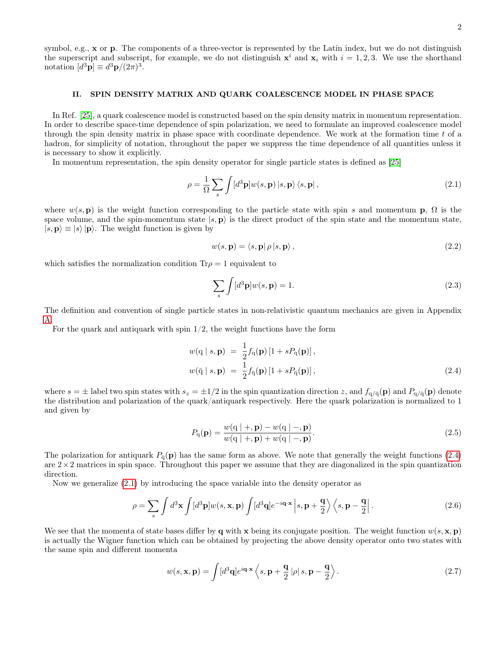symbol, e.g., x or p. The components of a three-vector is represented by the Latin index, but we do not distinguish the superscript and subscript, for example, we do not distinguish  $x^i$  and  $x_i$  with  $i = 1, 2, 3$ . We use the shorthand notation  $[d^3\mathbf{p}] \equiv d^3\mathbf{p}/(2\pi)^3$ .

# <span id="page-1-0"></span>II. SPIN DENSITY MATRIX AND QUARK COALESCENCE MODEL IN PHASE SPACE

In Ref. [\[25\]](#page-18-13), a quark coalescence model is constructed based on the spin density matrix in momentum representation. In order to describe space-time dependence of spin polarization, we need to formulate an improved coalescence model through the spin density matrix in phase space with coordinate dependence. We work at the formation time t of a hadron, for simplicity of notation, throughout the paper we suppress the time dependence of all quantities unless it is necessary to show it explicitly.

In momentum representation, the spin density operator for single particle states is defined as [\[25\]](#page-18-13)

<span id="page-1-2"></span>
$$
\rho = \frac{1}{\Omega} \sum_{s} \int [d^3 \mathbf{p}] w(s, \mathbf{p}) |s, \mathbf{p} \rangle \langle s, \mathbf{p} |,
$$
\n(2.1)

where  $w(s, \mathbf{p})$  is the weight function corresponding to the particle state with spin s and momentum  $\mathbf{p}, \Omega$  is the space volume, and the spin-momentum state  $|s, p\rangle$  is the direct product of the spin state and the momentum state,  $|s, \mathbf{p} \rangle \equiv |s\rangle |\mathbf{p}\rangle$ . The weight function is given by

<span id="page-1-3"></span>
$$
w(s, \mathbf{p}) = \langle s, \mathbf{p} | \rho | s, \mathbf{p} \rangle, \tag{2.2}
$$

which satisfies the normalization condition  $Tr \rho = 1$  equivalent to

$$
\sum_{s} \int [d^3 \mathbf{p}] w(s, \mathbf{p}) = 1. \tag{2.3}
$$

The definition and convention of single particle states in non-relativistic quantum mechanics are given in Appendix [A.](#page-12-0)

For the quark and antiquark with spin  $1/2$ , the weight functions have the form

<span id="page-1-1"></span>
$$
w(\mathbf{q} \mid s, \mathbf{p}) = \frac{1}{2} f_{\mathbf{q}}(\mathbf{p}) \left[ 1 + s P_{\mathbf{q}}(\mathbf{p}) \right],
$$
  

$$
w(\bar{\mathbf{q}} \mid s, \mathbf{p}) = \frac{1}{2} f_{\bar{\mathbf{q}}}(\mathbf{p}) \left[ 1 + s P_{\bar{\mathbf{q}}}(\mathbf{p}) \right],
$$
 (2.4)

where  $s = \pm$  label two spin states with  $s_z = \pm 1/2$  in the spin quantization direction z, and  $f_{q/\bar{q}}(\mathbf{p})$  and  $P_{q/\bar{q}}(\mathbf{p})$  denote the distribution and polarization of the quark/antiquark respectively. Here the quark polarization is normalized to 1 and given by

<span id="page-1-4"></span>
$$
P_{\mathbf{q}}(\mathbf{p}) = \frac{w(\mathbf{q} | +, \mathbf{p}) - w(\mathbf{q} | -, \mathbf{p})}{w(\mathbf{q} | +, \mathbf{p}) + w(\mathbf{q} | -, \mathbf{p})}.
$$
\n(2.5)

The polarization for antiquark  $P_{\bar{q}}(\mathbf{p})$  has the same form as above. We note that generally the weight functions [\(2.4\)](#page-1-1) are  $2\times 2$  matrices in spin space. Throughout this paper we assume that they are diagonalized in the spin quantization direction.

Now we generalize [\(2.1\)](#page-1-2) by introducing the space variable into the density operator as

$$
\rho = \sum_{s} \int d^3 \mathbf{x} \int [d^3 \mathbf{p}] w(s, \mathbf{x}, \mathbf{p}) \int [d^3 \mathbf{q}] e^{-i \mathbf{q} \cdot \mathbf{x}} \left| s, \mathbf{p} + \frac{\mathbf{q}}{2} \right\rangle \left\langle s, \mathbf{p} - \frac{\mathbf{q}}{2} \right|.
$$
 (2.6)

We see that the momenta of state bases differ by q with x being its conjugate position. The weight function  $w(s, \mathbf{x}, \mathbf{p})$ is actually the Wigner function which can be obtained by projecting the above density operator onto two states with the same spin and different momenta

$$
w(s, \mathbf{x}, \mathbf{p}) = \int [d^3 \mathbf{q}] e^{i\mathbf{q} \cdot \mathbf{x}} \left\langle s, \mathbf{p} + \frac{\mathbf{q}}{2} | \rho | s, \mathbf{p} - \frac{\mathbf{q}}{2} \right\rangle.
$$
 (2.7)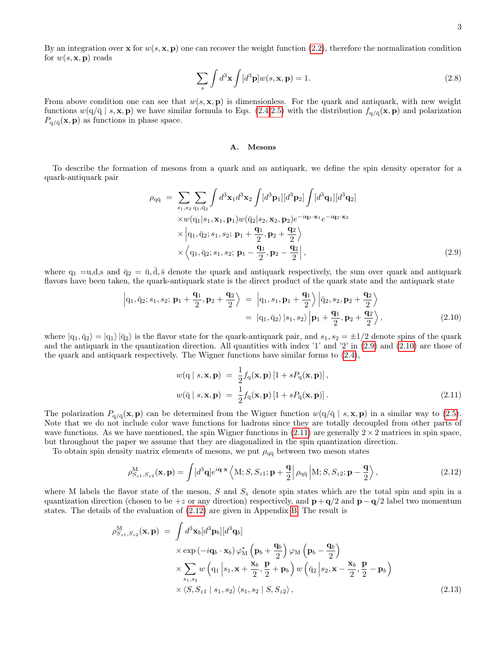<span id="page-2-5"></span>
$$
\sum_{s} \int d^3 \mathbf{x} \int [d^3 \mathbf{p}] w(s, \mathbf{x}, \mathbf{p}) = 1.
$$
 (2.8)

From above condition one can see that  $w(s, \mathbf{x}, \mathbf{p})$  is dimensionless. For the quark and antiquark, with new weight functions  $w(q/\bar{q} \mid s, \mathbf{x}, \mathbf{p})$  we have similar formula to Eqs. [\(2.4,](#page-1-1)[2.5\)](#page-1-4) with the distribution  $f_{q/\bar{q}}(\mathbf{x}, \mathbf{p})$  and polarization  $P_{q/\bar{q}}(x, p)$  as functions in phase space.

## A. Mesons

To describe the formation of mesons from a quark and an antiquark, we define the spin density operator for a quark-antiquark pair

<span id="page-2-0"></span>
$$
\rho_{q\bar{q}} = \sum_{s_1, s_2} \sum_{q_1, \bar{q}_2} \int d^3 \mathbf{x}_1 d^3 \mathbf{x}_2 \int [d^3 \mathbf{p}_1] [d^3 \mathbf{p}_2] \int [d^3 \mathbf{q}_1] [d^3 \mathbf{q}_2]
$$
  
\n
$$
\times w(q_1|s_1, \mathbf{x}_1, \mathbf{p}_1) w(\bar{q}_2|s_2, \mathbf{x}_2, \mathbf{p}_2) e^{-i \mathbf{q}_1 \cdot \mathbf{x}_1} e^{-i \mathbf{q}_2 \cdot \mathbf{x}_2}
$$
  
\n
$$
\times \left| q_1, \bar{q}_2; s_1, s_2; \mathbf{p}_1 + \frac{\mathbf{q}_1}{2}, \mathbf{p}_2 + \frac{\mathbf{q}_2}{2} \right\rangle
$$
  
\n
$$
\times \left\langle q_1, \bar{q}_2; s_1, s_2; \mathbf{p}_1 - \frac{\mathbf{q}_1}{2}, \mathbf{p}_2 - \frac{\mathbf{q}_2}{2} \right|,
$$
\n(2.9)

where  $q_1 = u, d, s$  and  $\bar{q}_2 = \bar{u}, d, \bar{s}$  denote the quark and antiquark respectively, the sum over quark and antiquark flavors have been taken, the quark-antiquark state is the direct product of the quark state and the antiquark state

<span id="page-2-1"></span>
$$
\left| q_1, \bar{q}_2; s_1, s_2; \mathbf{p}_1 + \frac{\mathbf{q}_1}{2}, \mathbf{p}_2 + \frac{\mathbf{q}_2}{2} \right\rangle = \left| q_1, s_1, \mathbf{p}_1 + \frac{\mathbf{q}_1}{2} \right\rangle \left| \bar{q}_2, s_2, \mathbf{p}_2 + \frac{\mathbf{q}_2}{2} \right\rangle = \left| q_1, \bar{q}_2 \right\rangle \left| s_1, s_2 \right\rangle \left| \mathbf{p}_1 + \frac{\mathbf{q}_1}{2}, \mathbf{p}_2 + \frac{\mathbf{q}_2}{2} \right\rangle,
$$
(2.10)

where  $|q_1,\bar{q}_2\rangle = |q_1\rangle |\bar{q}_2\rangle$  is the flavor state for the quark-antiquark pair, and  $s_1, s_2 = \pm 1/2$  denote spins of the quark and the antiquark in the quantization direction. All quantities with index  $'1'$  and  $'2'$  in  $(2.9)$  and  $(2.10)$  are those of the quark and antiquark respectively. The Wigner functions have similar forms to [\(2.4\)](#page-1-1),

<span id="page-2-2"></span>
$$
w(\mathbf{q} \mid s, \mathbf{x}, \mathbf{p}) = \frac{1}{2} f_{\mathbf{q}}(\mathbf{x}, \mathbf{p}) [1 + s P_{\mathbf{q}}(\mathbf{x}, \mathbf{p})],
$$
  

$$
w(\bar{\mathbf{q}} \mid s, \mathbf{x}, \mathbf{p}) = \frac{1}{2} f_{\bar{\mathbf{q}}}(\mathbf{x}, \mathbf{p}) [1 + s P_{\bar{\mathbf{q}}}(\mathbf{x}, \mathbf{p})].
$$
 (2.11)

The polarization  $P_{q/\bar{q}}(x, p)$  can be determined from the Wigner function  $w(q/\bar{q} \mid s, x, p)$  in a similar way to [\(2.5\)](#page-1-4). Note that we do not include color wave functions for hadrons since they are totally decoupled from other parts of wave functions. As we have mentioned, the spin Wigner functions in  $(2.11)$  are generally  $2 \times 2$  matrices in spin space, but throughout the paper we assume that they are diagonalized in the spin quantization direction.

To obtain spin density matrix elements of mesons, we put  $\rho_{q\bar{q}}$  between two meson states

<span id="page-2-3"></span>
$$
\rho_{S_{z1},S_{z2}}^{\mathbf{M}}(\mathbf{x},\mathbf{p}) = \int [d^3\mathbf{q}] e^{i\mathbf{q}\cdot\mathbf{x}} \left\langle \mathbf{M}; S, S_{z1}; \mathbf{p} + \frac{\mathbf{q}}{2} \right| \rho_{q\bar{q}} \left| \mathbf{M}; S, S_{z2}; \mathbf{p} - \frac{\mathbf{q}}{2} \right\rangle, \tag{2.12}
$$

where M labels the flavor state of the meson, S and  $S_z$  denote spin states which are the total spin and spin in a quantization direction (chosen to be  $+z$  or any direction) respectively, and  $\mathbf{p} + \mathbf{q}/2$  and  $\mathbf{p} - \mathbf{q}/2$  label two momentum states. The details of the evaluation of [\(2.12\)](#page-2-3) are given in Appendix [B.](#page-12-1) The result is

<span id="page-2-4"></span>
$$
\rho_{S_{z1},S_{z2}}^{\mathbf{M}}(\mathbf{x},\mathbf{p}) = \int d^{3} \mathbf{x}_{b} [d^{3} \mathbf{p}_{b}][d^{3} \mathbf{q}_{b}]
$$
\n
$$
\times \exp(-i\mathbf{q}_{b} \cdot \mathbf{x}_{b}) \varphi_{\mathbf{M}}^{*} (\mathbf{p}_{b} + \frac{\mathbf{q}_{b}}{2}) \varphi_{\mathbf{M}} (\mathbf{p}_{b} - \frac{\mathbf{q}_{b}}{2})
$$
\n
$$
\times \sum_{s_{1},s_{2}} w (\mathbf{q}_{1} | s_{1}, \mathbf{x} + \frac{\mathbf{x}_{b}}{2}, \frac{\mathbf{p}}{2} + \mathbf{p}_{b}) w (\bar{\mathbf{q}}_{2} | s_{2}, \mathbf{x} - \frac{\mathbf{x}_{b}}{2}, \frac{\mathbf{p}}{2} - \mathbf{p}_{b})
$$
\n
$$
\times \langle S, S_{z1} | s_{1}, s_{2} \rangle \langle s_{1}, s_{2} | S, S_{z2} \rangle, \qquad (2.13)
$$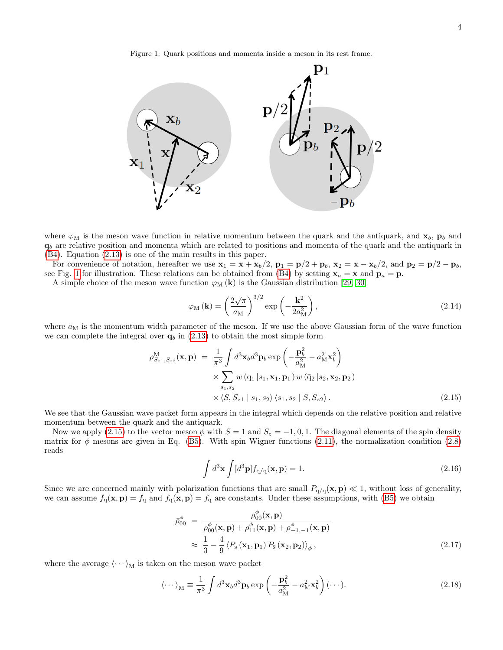<span id="page-3-0"></span>Figure 1: Quark positions and momenta inside a meson in its rest frame.



where  $\varphi_M$  is the meson wave function in relative momentum between the quark and the antiquark, and  $\mathbf{x}_b$ ,  $\mathbf{p}_b$  and  $q_b$  are relative position and momenta which are related to positions and momenta of the quark and the antiquark in [\(B4\)](#page-13-0). Equation [\(2.13\)](#page-2-4) is one of the main results in this paper.

For convenience of notation, hereafter we use  $x_1 = x + x_b/2$ ,  $p_1 = p/2 + p_b$ ,  $x_2 = x - x_b/2$ , and  $p_2 = p/2 - p_b$ , see Fig. [1](#page-3-0) for illustration. These relations can be obtained from [\(B4\)](#page-13-0) by setting  $x_a = x$  and  $p_a = p$ .

A simple choice of the meson wave function  $\varphi_M(\mathbf{k})$  is the Gaussian distribution [\[29,](#page-18-17) [30\]](#page-18-18)

<span id="page-3-3"></span>
$$
\varphi_{\rm M}(\mathbf{k}) = \left(\frac{2\sqrt{\pi}}{a_{\rm M}}\right)^{3/2} \exp\left(-\frac{\mathbf{k}^2}{2a_{\rm M}^2}\right),\tag{2.14}
$$

where  $a_M$  is the momentum width parameter of the meson. If we use the above Gaussian form of the wave function we can complete the integral over  $q_b$  in [\(2.13\)](#page-2-4) to obtain the most simple form

<span id="page-3-1"></span>
$$
\rho_{S_{z1},S_{z2}}^{\text{M}}(\mathbf{x},\mathbf{p}) = \frac{1}{\pi^3} \int d^3 \mathbf{x}_b d^3 \mathbf{p}_b \exp\left(-\frac{\mathbf{p}_b^2}{a_{\text{M}}^2} - a_{\text{M}}^2 \mathbf{x}_b^2\right) \times \sum_{s_1,s_2} w \left(\mathbf{q}_1 \, | s_1, \mathbf{x}_1, \mathbf{p}_1\right) w \left(\bar{\mathbf{q}}_2 \, | s_2, \mathbf{x}_2, \mathbf{p}_2\right) \times \langle S, S_{z1} \, | \, s_1, s_2 \rangle \langle s_1, s_2 \, | \, S, S_{z2} \rangle.
$$
\n(2.15)

We see that the Gaussian wave packet form appears in the integral which depends on the relative position and relative momentum between the quark and the antiquark.

Now we apply [\(2.15\)](#page-3-1) to the vector meson  $\phi$  with  $S = 1$  and  $S_z = -1, 0, 1$ . The diagonal elements of the spin density matrix for  $\phi$  mesons are given in Eq. [\(B5\)](#page-14-0). With spin Wigner functions [\(2.11\)](#page-2-2), the normalization condition [\(2.8\)](#page-2-5) reads

$$
\int d^3 \mathbf{x} \int [d^3 \mathbf{p}] f_{q/\bar{q}}(\mathbf{x}, \mathbf{p}) = 1.
$$
\n(2.16)

Since we are concerned mainly with polarization functions that are small  $P_{q/\bar{q}}(x, p) \ll 1$ , without loss of generality, we can assume  $f_q(\mathbf{x}, \mathbf{p}) = f_q$  and  $f_{\bar{q}}(\mathbf{x}, \mathbf{p}) = f_{\bar{q}}$  are constants. Under these assumptions, with [\(B5\)](#page-14-0) we obtain

<span id="page-3-2"></span>
$$
\bar{\rho}_{00}^{\phi} = \frac{\rho_{00}^{\phi}(\mathbf{x}, \mathbf{p})}{\rho_{00}^{\phi}(\mathbf{x}, \mathbf{p}) + \rho_{11}^{\phi}(\mathbf{x}, \mathbf{p}) + \rho_{-1,-1}^{\phi}(\mathbf{x}, \mathbf{p})}
$$
\n
$$
\approx \frac{1}{3} - \frac{4}{9} \langle P_{\rm s}(\mathbf{x}_1, \mathbf{p}_1) P_{\rm s}(\mathbf{x}_2, \mathbf{p}_2) \rangle_{\phi},
$$
\n(2.17)

where the average  $\langle \cdots \rangle_M$  is taken on the meson wave packet

$$
\langle \cdots \rangle_{\mathcal{M}} \equiv \frac{1}{\pi^3} \int d^3 \mathbf{x}_b d^3 \mathbf{p}_b \exp\left(-\frac{\mathbf{p}_b^2}{a_{\mathcal{M}}^2} - a_{\mathcal{M}}^2 \mathbf{x}_b^2\right) (\cdots).
$$
 (2.18)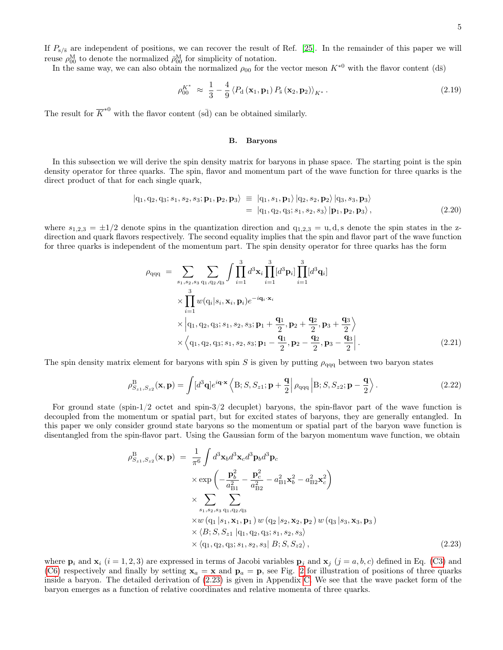If  $P_{s/\bar{s}}$  are independent of positions, we can recover the result of Ref. [\[25\]](#page-18-13). In the remainder of this paper we will reuse  $\rho_{00}^{\text{M}}$  to denote the normalized  $\bar{\rho}_{00}^{\text{M}}$  for simplicity of notation.

In the same way, we can also obtain the normalized  $\rho_{00}$  for the vector meson  $K^{*0}$  with the flavor content (d $\bar{s}$ )

$$
\rho_{00}^{K^*} \approx \frac{1}{3} - \frac{4}{9} \left\langle P_{\rm d} \left( \mathbf{x}_1, \mathbf{p}_1 \right) P_{\rm s} \left( \mathbf{x}_2, \mathbf{p}_2 \right) \right\rangle_{K^*} . \tag{2.19}
$$

The result for  $\overline{K}^{*0}$  with the flavor content (sd) can be obtained similarly.

# B. Baryons

In this subsection we will derive the spin density matrix for baryons in phase space. The starting point is the spin density operator for three quarks. The spin, flavor and momentum part of the wave function for three quarks is the direct product of that for each single quark,

$$
|q_1, q_2, q_3; s_1, s_2, s_3; \mathbf{p}_1, \mathbf{p}_2, \mathbf{p}_3\rangle \equiv |q_1, s_1, \mathbf{p}_1\rangle |q_2, s_2, \mathbf{p}_2\rangle |q_3, s_3, \mathbf{p}_3\rangle = |q_1, q_2, q_3; s_1, s_2, s_3\rangle | \mathbf{p}_1, \mathbf{p}_2, \mathbf{p}_3\rangle,
$$
(2.20)

where  $s_{1,2,3} = \pm 1/2$  denote spins in the quantization direction and  $q_{1,2,3} = u, d, s$  denote the spin states in the zdirection and quark flavors respectively. The second equality implies that the spin and flavor part of the wave function for three quarks is independent of the momentum part. The spin density operator for three quarks has the form

<span id="page-4-2"></span>
$$
\rho_{qqq} = \sum_{s_1, s_2, s_3} \sum_{q_1, q_2, q_3} \int \prod_{i=1}^3 d^3 \mathbf{x}_i \prod_{i=1}^3 [d^3 \mathbf{p}_i] \prod_{i=1}^3 [d^3 \mathbf{q}_i]
$$
  
\n
$$
\times \prod_{i=1}^3 w(q_i|s_i, \mathbf{x}_i, \mathbf{p}_i) e^{-i \mathbf{q}_i \cdot \mathbf{x}_i}
$$
  
\n
$$
\times \left| q_1, q_2, q_3; s_1, s_2, s_3; \mathbf{p}_1 + \frac{\mathbf{q}_1}{2}, \mathbf{p}_2 + \frac{\mathbf{q}_2}{2}, \mathbf{p}_3 + \frac{\mathbf{q}_3}{2} \right\rangle
$$
  
\n
$$
\times \left\langle q_1, q_2, q_3; s_1, s_2, s_3; \mathbf{p}_1 - \frac{\mathbf{q}_1}{2}, \mathbf{p}_2 - \frac{\mathbf{q}_2}{2}, \mathbf{p}_3 - \frac{\mathbf{q}_3}{2} \right|.
$$
 (2.21)

The spin density matrix element for baryons with spin S is given by putting  $\rho_{\text{qqq}}$  between two baryon states

<span id="page-4-1"></span>
$$
\rho_{S_{z1},S_{z2}}^{\mathbf{B}}(\mathbf{x},\mathbf{p}) = \int [d^3\mathbf{q}] e^{i\mathbf{q}\cdot\mathbf{x}} \left\langle \mathbf{B}; S, S_{z1}; \mathbf{p} + \frac{\mathbf{q}}{2} \right| \rho_{\mathbf{qqq}} \left| \mathbf{B}; S, S_{z2}; \mathbf{p} - \frac{\mathbf{q}}{2} \right\rangle.
$$
 (2.22)

For ground state (spin-1/2 octet and spin-3/2 decuplet) baryons, the spin-flavor part of the wave function is decoupled from the momentum or spatial part, but for excited states of baryons, they are generally entangled. In this paper we only consider ground state baryons so the momentum or spatial part of the baryon wave function is disentangled from the spin-flavor part. Using the Gaussian form of the baryon momentum wave function, we obtain

<span id="page-4-0"></span>
$$
\rho_{S_{z1},S_{z2}}^{\text{B}}(\mathbf{x},\mathbf{p}) = \frac{1}{\pi^6} \int d^3 \mathbf{x}_b d^3 \mathbf{x}_c d^3 \mathbf{p}_b d^3 \mathbf{p}_c \times \exp\left(-\frac{\mathbf{p}_b^2}{a_{B1}^2} - \frac{\mathbf{p}_c^2}{a_{B2}^2} - a_{B1}^2 \mathbf{x}_b^2 - a_{B2}^2 \mathbf{x}_c^2\right) \times \sum_{s_1,s_2,s_3} \sum_{q_1,q_2,q_3} \times w(q_1|s_1, \mathbf{x}_1, \mathbf{p}_1) w(q_2|s_2, \mathbf{x}_2, \mathbf{p}_2) w(q_3|s_3, \mathbf{x}_3, \mathbf{p}_3) \times \langle B; S, S_{z1} | q_1, q_2, q_3; s_1, s_2, s_3 \rangle \times \langle q_1, q_2, q_3; s_1, s_2, s_3 | B; S, S, s_2 \rangle,
$$
\n(2.23)

where  $\mathbf{p}_i$  and  $\mathbf{x}_i$  (i = 1, 2, 3) are expressed in terms of Jacobi variables  $\mathbf{p}_j$  and  $\mathbf{x}_j$  (j = a, b, c) defined in Eq. [\(C3\)](#page-15-0) and [\(C6\)](#page-15-1) respectively and finally by setting  $x_a = x$  and  $p_a = p$ , see Fig. [2](#page-5-1) for illustration of positions of three quarks inside a baryon. The detailed derivation of [\(2.23\)](#page-4-0) is given in Appendix [C.](#page-14-1) We see that the wave packet form of the baryon emerges as a function of relative coordinates and relative momenta of three quarks.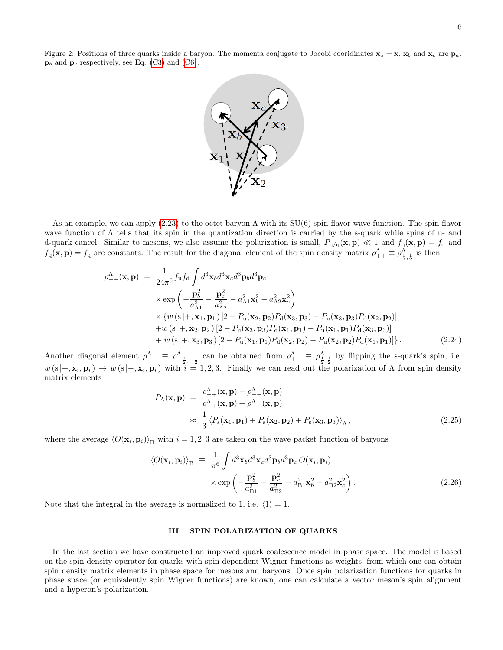<span id="page-5-1"></span>

As an example, we can apply  $(2.23)$  to the octet baryon  $\Lambda$  with its SU(6) spin-flavor wave function. The spin-flavor wave function of Λ tells that its spin in the quantization direction is carried by the s-quark while spins of u- and d-quark cancel. Similar to mesons, we also assume the polarization is small,  $P_{q/\bar{q}}(x, p) \ll 1$  and  $f_q(x, p) = f_q$  and  $f_{\bar{q}}(\mathbf{x}, \mathbf{p}) = f_{\bar{q}}$  are constants. The result for the diagonal element of the spin density matrix  $\rho_{++}^{\Lambda} \equiv \rho_{\frac{1}{2}, \frac{1}{2}}^{\Lambda}$  is then

$$
\rho_{++}^{\Lambda}(\mathbf{x}, \mathbf{p}) = \frac{1}{24\pi^{6}} f_{\mathbf{u}} f_{\mathbf{d}} \int d^{3} \mathbf{x}_{b} d^{3} \mathbf{x}_{c} d^{3} \mathbf{p}_{b} d^{3} \mathbf{p}_{c}
$$
\n
$$
\times \exp\left(-\frac{\mathbf{p}_{b}^{2}}{a_{\Lambda 1}^{2}} - \frac{\mathbf{p}_{c}^{2}}{a_{\Lambda 2}^{2}} - a_{\Lambda 1}^{2} \mathbf{x}_{b}^{2} - a_{\Lambda 2}^{2} \mathbf{x}_{c}^{2}\right)
$$
\n
$$
\times \{w \left(s \middle| +, \mathbf{x}_{1}, \mathbf{p}_{1}\right) \left[2 - P_{\mathbf{u}}(\mathbf{x}_{2}, \mathbf{p}_{2}) P_{\mathbf{d}}(\mathbf{x}_{3}, \mathbf{p}_{3}) - P_{\mathbf{u}}(\mathbf{x}_{3}, \mathbf{p}_{3}) P_{\mathbf{d}}(\mathbf{x}_{2}, \mathbf{p}_{2})\right]
$$
\n
$$
+ w \left(s \middle| +, \mathbf{x}_{2}, \mathbf{p}_{2}\right) \left[2 - P_{\mathbf{u}}(\mathbf{x}_{3}, \mathbf{p}_{3}) P_{\mathbf{d}}(\mathbf{x}_{1}, \mathbf{p}_{1}) - P_{\mathbf{u}}(\mathbf{x}_{1}, \mathbf{p}_{1}) P_{\mathbf{d}}(\mathbf{x}_{3}, \mathbf{p}_{3})\right]
$$
\n
$$
+ w \left(s \middle| +, \mathbf{x}_{3}, \mathbf{p}_{3}\right) \left[2 - P_{\mathbf{u}}(\mathbf{x}_{1}, \mathbf{p}_{1}) P_{\mathbf{d}}(\mathbf{x}_{2}, \mathbf{p}_{2}) - P_{\mathbf{u}}(\mathbf{x}_{2}, \mathbf{p}_{2}) P_{\mathbf{d}}(\mathbf{x}_{1}, \mathbf{p}_{1})\right]\}.
$$
\n(2.24)

Another diagonal element  $\rho_{--}^{\Lambda} \equiv \rho_{-\frac{1}{2},-\frac{1}{2}}^{\Lambda}$  can be obtained from  $\rho_{++}^{\Lambda} \equiv \rho_{\frac{1}{2},\frac{1}{2}}^{\Lambda}$  by flipping the s-quark's spin, i.e.  $w(s|+,\mathbf{x}_i,\mathbf{p}_i) \to w(s|-,\mathbf{x}_i,\mathbf{p}_i)$  with  $i=1,2,3$ . Finally we can read out the polarization of  $\Lambda$  from spin density matrix elements

<span id="page-5-2"></span>
$$
P_{\Lambda}(\mathbf{x}, \mathbf{p}) = \frac{\rho_{++}^{\Lambda}(\mathbf{x}, \mathbf{p}) - \rho_{--}^{\Lambda}(\mathbf{x}, \mathbf{p})}{\rho_{++}^{\Lambda}(\mathbf{x}, \mathbf{p}) + \rho_{--}^{\Lambda}(\mathbf{x}, \mathbf{p})} \approx \frac{1}{3} \langle P_{\rm s}(\mathbf{x}_1, \mathbf{p}_1) + P_{\rm s}(\mathbf{x}_2, \mathbf{p}_2) + P_{\rm s}(\mathbf{x}_3, \mathbf{p}_3) \rangle_{\Lambda}, \qquad (2.25)
$$

where the average  $\langle O(\mathbf{x}_i, \mathbf{p}_i) \rangle_B$  with  $i = 1, 2, 3$  are taken on the wave packet function of baryons

$$
\langle O(\mathbf{x}_i, \mathbf{p}_i) \rangle_B \equiv \frac{1}{\pi^6} \int d^3 \mathbf{x}_b d^3 \mathbf{x}_c d^3 \mathbf{p}_b d^3 \mathbf{p}_c O(\mathbf{x}_i, \mathbf{p}_i)
$$
  
 
$$
\times \exp \left( -\frac{\mathbf{p}_b^2}{a_{\text{B1}}^2} - \frac{\mathbf{p}_c^2}{a_{\text{B2}}^2} - a_{\text{B1}}^2 \mathbf{x}_b^2 - a_{\text{B2}}^2 \mathbf{x}_c^2 \right).
$$
 (2.26)

Note that the integral in the average is normalized to 1, i.e.  $\langle 1 \rangle = 1$ .

# <span id="page-5-0"></span>III. SPIN POLARIZATION OF QUARKS

In the last section we have constructed an improved quark coalescence model in phase space. The model is based on the spin density operator for quarks with spin dependent Wigner functions as weights, from which one can obtain spin density matrix elements in phase space for mesons and baryons. Once spin polarization functions for quarks in phase space (or equivalently spin Wigner functions) are known, one can calculate a vector meson's spin alignment and a hyperon's polarization.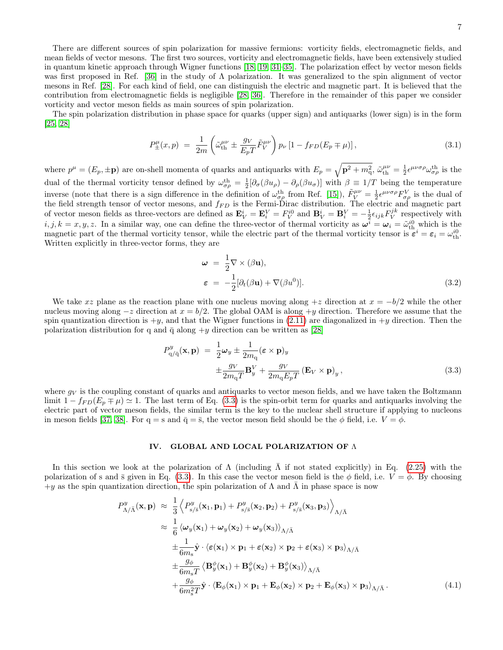There are different sources of spin polarization for massive fermions: vorticity fields, electromagnetic fields, and mean fields of vector mesons. The first two sources, vorticity and electromagnetic fields, have been extensively studied in quantum kinetic approach through Wigner functions [\[18,](#page-18-19) [19,](#page-18-20) [31–](#page-18-21)[35\]](#page-18-22). The polarization effect by vector meson fields was first proposed in Ref. [\[36\]](#page-18-23) in the study of Λ polarization. It was generalized to the spin alignment of vector mesons in Ref. [\[28\]](#page-18-16). For each kind of field, one can distinguish the electric and magnetic part. It is believed that the contribution from electromagnetic fields is negligible [\[28,](#page-18-16) [36\]](#page-18-23). Therefore in the remainder of this paper we consider vorticity and vector meson fields as main sources of spin polarization.

The spin polarization distribution in phase space for quarks (upper sign) and antiquarks (lower sign) is in the form [\[25,](#page-18-13) [28\]](#page-18-16)

$$
P_{\pm}^{\mu}(x,p) = \frac{1}{2m} \left( \tilde{\omega}_{\text{th}}^{\mu\nu} \pm \frac{g_V}{E_p T} \tilde{F}_V^{\mu\nu} \right) p_{\nu} \left[ 1 - f_{FD}(E_p \mp \mu) \right], \tag{3.1}
$$

where  $p^{\mu} = (E_p, \pm \mathbf{p})$  are on-shell momenta of quarks and antiquarks with  $E_p = \sqrt{\mathbf{p}^2 + m_q^2}$ ,  $\tilde{\omega}_{\text{th}}^{\mu\nu} = \frac{1}{2} \epsilon^{\mu\nu\sigma\rho} \omega_{\sigma\rho}^{\text{th}}$  is the dual of the thermal vorticity tensor defined by  $\omega_{\sigma\rho}^{\text{th}} = \frac{1}{2} [\partial_{\sigma} (\beta u_{\rho}) - \partial_{\rho} (\beta u_{\sigma})]$  with  $\beta \equiv 1/T$  being the temperature inverse (note that there is a sign difference in the definition of  $\omega_{\sigma\rho}^{\text{th}}$  from Ref. [\[15\]](#page-18-8)),  $\tilde{F}_V^{\mu\nu} = \frac{1}{2} \epsilon^{\mu\nu\sigma\rho} F_{\sigma\rho}^V$  is the dual of the field strength tensor of vector mesons, and  $f_{FD}$  is the Fermi-Dirac distribution. The electric and magnetic part of vector meson fields as three-vectors are defined as  $\mathbf{E}_V^i = \mathbf{E}_i^V = F_V^{i0}$  and  $\mathbf{B}_V^i = \mathbf{B}_i^V = -\frac{1}{2} \epsilon_{ijk} F_V^{jk}$  respectively with  $i, j, k = x, y, z$ . In a similar way, one can define the three-vector of thermal vorticity as  $\omega^i = \omega_i = \tilde{\omega}_{\text{th}}^{i0}$  which is the magnetic part of the thermal vorticity tensor, while the electric part of the thermal vorticity tensor is  $\vec{\epsilon}^i = \epsilon_i = \omega_{\text{th}}^{i0}$ . Written explicitly in three-vector forms, they are

$$
\omega = \frac{1}{2} \nabla \times (\beta \mathbf{u}),
$$
  

$$
\varepsilon = -\frac{1}{2} [\partial_t (\beta \mathbf{u}) + \nabla (\beta u^0)].
$$
 (3.2)

We take xz plane as the reaction plane with one nucleus moving along  $+z$  direction at  $x = -b/2$  while the other nucleus moving along  $-z$  direction at  $x = b/2$ . The global OAM is along +y direction. Therefore we assume that the spin quantization direction is  $+y$ , and that the Wigner functions in [\(2.11\)](#page-2-2) are diagonalized in  $+y$  direction. Then the polarization distribution for q and  $\bar{q}$  along  $+y$  direction can be written as [\[28\]](#page-18-16)

<span id="page-6-1"></span>
$$
P_{q/\bar{q}}^{y}(\mathbf{x}, \mathbf{p}) = \frac{1}{2}\omega_{y} \pm \frac{1}{2m_{q}} (\varepsilon \times \mathbf{p})_{y}
$$
  
 
$$
\pm \frac{g_{V}}{2m_{q}T} \mathbf{B}_{y}^{V} + \frac{g_{V}}{2m_{q}E_{p}T} (\mathbf{E}_{V} \times \mathbf{p})_{y},
$$
 (3.3)

where  $g_V$  is the coupling constant of quarks and antiquarks to vector meson fields, and we have taken the Boltzmann limit  $1 - f_{FD}(E_p \mp \mu) \simeq 1$ . The last term of Eq. [\(3.3\)](#page-6-1) is the spin-orbit term for quarks and antiquarks involving the electric part of vector meson fields, the similar term is the key to the nuclear shell structure if applying to nucleons in meson fields [\[37,](#page-18-24) [38\]](#page-18-25). For  $q = s$  and  $\bar{q} = \bar{s}$ , the vector meson field should be the  $\phi$  field, i.e.  $V = \phi$ .

# <span id="page-6-0"></span>IV. GLOBAL AND LOCAL POLARIZATION OF Λ

In this section we look at the polarization of  $\Lambda$  (including  $\Lambda$  if not stated explicitly) in Eq. [\(2.25\)](#page-5-2) with the polarization of s and  $\bar{s}$  given in Eq. [\(3.3\)](#page-6-1). In this case the vector meson field is the  $\phi$  field, i.e.  $V = \phi$ . By choosing  $+y$  as the spin quantization direction, the spin polarization of  $\Lambda$  and  $\bar{\Lambda}$  in phase space is now

$$
P_{\Lambda/\bar{\Lambda}}^{y}(\mathbf{x}, \mathbf{p}) \approx \frac{1}{3} \left\langle P_{s/\bar{s}}^{y}(\mathbf{x}_1, \mathbf{p}_1) + P_{s/\bar{s}}^{y}(\mathbf{x}_2, \mathbf{p}_2) + P_{s/\bar{s}}^{y}(\mathbf{x}_3, \mathbf{p}_3) \right\rangle_{\Lambda/\bar{\Lambda}} \approx \frac{1}{6} \left\langle \omega_y(\mathbf{x}_1) + \omega_y(\mathbf{x}_2) + \omega_y(\mathbf{x}_3) \right\rangle_{\Lambda/\bar{\Lambda}} \pm \frac{1}{6m_s} \hat{\mathbf{y}} \cdot \left\langle \varepsilon(\mathbf{x}_1) \times \mathbf{p}_1 + \varepsilon(\mathbf{x}_2) \times \mathbf{p}_2 + \varepsilon(\mathbf{x}_3) \times \mathbf{p}_3 \right\rangle_{\Lambda/\bar{\Lambda}} \pm \frac{g_\phi}{6m_s T} \left\langle \mathbf{B}_{y}^{\phi}(\mathbf{x}_1) + \mathbf{B}_{y}^{\phi}(\mathbf{x}_2) + \mathbf{B}_{y}^{\phi}(\mathbf{x}_3) \right\rangle_{\Lambda/\bar{\Lambda}} \pm \frac{g_\phi}{6m_s^2 T} \hat{\mathbf{y}} \cdot \left\langle \mathbf{E}_{\phi}(\mathbf{x}_1) \times \mathbf{p}_1 + \mathbf{E}_{\phi}(\mathbf{x}_2) \times \mathbf{p}_2 + \mathbf{E}_{\phi}(\mathbf{x}_3) \times \mathbf{p}_3 \right\rangle_{\Lambda/\bar{\Lambda}}.
$$
\n(4.1)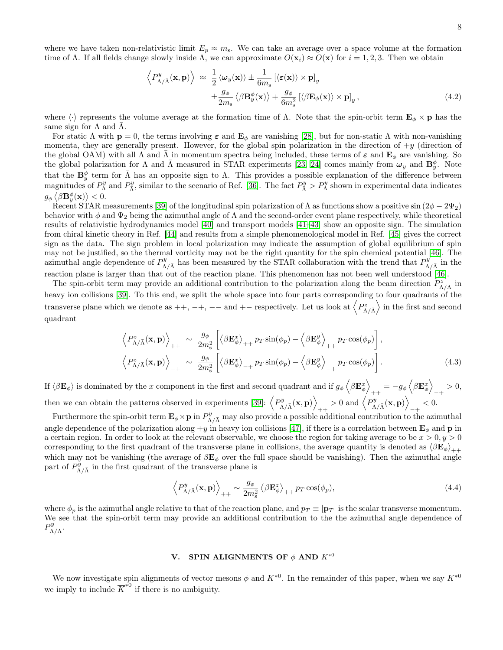where we have taken non-relativistic limit  $E_p \approx m_s$ . We can take an average over a space volume at the formation time of Λ. If all fields change slowly inside Λ, we can approximate  $O(\mathbf{x}_i) \approx O(\mathbf{x})$  for  $i = 1, 2, 3$ . Then we obtain

$$
\left\langle P_{\Lambda/\bar{\Lambda}}^{y}(\mathbf{x}, \mathbf{p}) \right\rangle \approx \frac{1}{2} \left\langle \omega_y(\mathbf{x}) \right\rangle \pm \frac{1}{6m_s} \left[ \langle \varepsilon(\mathbf{x}) \rangle \times \mathbf{p} \right]_y \pm \frac{g_\phi}{2m_s} \left\langle \beta \mathbf{B}_y^{\phi}(\mathbf{x}) \right\rangle + \frac{g_\phi}{6m_s^2} \left[ \langle \beta \mathbf{E}_{\phi}(\mathbf{x}) \rangle \times \mathbf{p} \right]_y, \tag{4.2}
$$

where  $\langle \cdot \rangle$  represents the volume average at the formation time of Λ. Note that the spin-orbit term  $\mathbf{E}_{\phi} \times \mathbf{p}$  has the same sign for  $\Lambda$  and  $\Lambda$ .

For static  $\Lambda$  with  $p = 0$ , the terms involving  $\varepsilon$  and  $E_{\phi}$  are vanishing [\[28\]](#page-18-16), but for non-static  $\Lambda$  with non-vanishing momenta, they are generally present. However, for the global spin polarization in the direction of  $+y$  (direction of the global OAM) with all  $\Lambda$  and  $\bar{\Lambda}$  in momentum spectra being included, these terms of  $\varepsilon$  and  $\mathbf{E}_{\phi}$  are vanishing. So the global polarization for  $\Lambda$  and  $\bar{\Lambda}$  measured in STAR experiments [\[23,](#page-18-10) [24\]](#page-18-11) comes mainly from  $\omega_y$  and  $\mathbf{B}_y^{\phi}$ . Note that the  $\mathbf{B}_y^{\phi}$  term for  $\bar{\Lambda}$  has an opposite sign to  $\Lambda$ . This provides a possible explanation of the difference between magnitudes of  $P^y_\Lambda$  and  $P^y_{\bar{\Lambda}}$ , similar to the scenario of Ref. [\[36\]](#page-18-23). The fact  $P^y_{\bar{\Lambda}} > P^y_\Lambda$  shown in experimental data indicates  $g_{\phi} \left\langle \beta \mathbf{B}^{\phi}_{y}(\mathbf{x}) \right\rangle < 0.$ 

Recent STAR measurements [\[39\]](#page-18-26) of the longitudinal spin polarization of  $\Lambda$  as functions show a positive sin  $(2\phi - 2\Psi_2)$ behavior with  $\phi$  and  $\Psi_2$  being the azimuthal angle of  $\Lambda$  and the second-order event plane respectively, while theoretical results of relativistic hydrodynamics model [\[40\]](#page-18-27) and transport models [\[41–](#page-18-28)[43\]](#page-18-29) show an opposite sign. The simulation from chiral kinetic theory in Ref. [\[44\]](#page-18-30) and results from a simple phenomenological model in Ref. [\[45\]](#page-19-0) gives the correct sign as the data. The sign problem in local polarization may indicate the assumption of global equilibrium of spin may not be justified, so the thermal vorticity may not be the right quantity for the spin chemical potential [\[46\]](#page-19-1). The azimuthal angle dependence of  $P_{\Lambda/\bar{\Lambda}}^y$  has been measured by the STAR collaboration with the trend that  $P_{\Lambda/\bar{\Lambda}}^{\dot{y}}$  in the reaction plane is larger than that out of the reaction plane. This phenomenon has not been well understood [\[46\]](#page-19-1).

The spin-orbit term may provide an additional contribution to the polarization along the beam direction  $P_{\Lambda/\bar{\Lambda}}^z$  in heavy ion collisions [\[39\]](#page-18-26). To this end, we split the whole space into four parts corresponding to four quadrants of the transverse plane which we denote as  $++$ ,  $-+$ ,  $--$  and  $+-$  respectively. Let us look at  $\left\langle P_{\Lambda/\bar{\Lambda}}^{z}\right\rangle$  in the first and second quadrant

$$
\left\langle P_{\Lambda/\bar{\Lambda}}^{z}(\mathbf{x}, \mathbf{p}) \right\rangle_{++} \sim \frac{g_{\phi}}{2m_{\rm s}^{2}} \left[ \left\langle \beta \mathbf{E}_{\phi}^{x} \right\rangle_{++} p_{T} \sin(\phi_{p}) - \left\langle \beta \mathbf{E}_{\phi}^{y} \right\rangle_{++} p_{T} \cos(\phi_{p}) \right],
$$
\n
$$
\left\langle P_{\Lambda/\bar{\Lambda}}^{z}(\mathbf{x}, \mathbf{p}) \right\rangle_{-+} \sim \frac{g_{\phi}}{2m_{\rm s}^{2}} \left[ \left\langle \beta \mathbf{E}_{\phi}^{x} \right\rangle_{-+} p_{T} \sin(\phi_{p}) - \left\langle \beta \mathbf{E}_{\phi}^{y} \right\rangle_{-+} p_{T} \cos(\phi_{p}) \right].
$$
\n(4.3)

If  $\langle \beta \mathbf{E}_{\phi} \rangle$  is dominated by the x component in the first and second quadrant and if  $g_{\phi} \langle \beta \mathbf{E}_{\phi}^{x} \rangle$  $_{++}=-g_{\phi}\left\langle \beta\mathbf{E}_{\phi}^{x}\right\rangle$  $-+ > 0,$ then we can obtain the patterns observed in experiments [\[39\]](#page-18-26):  $\langle P_{\Lambda/\bar{\Lambda}}^{y}(\mathbf{x}, \mathbf{p})\rangle$  $_{++} > 0 \text{ and } \left\langle P^y_{\Lambda/\bar{\Lambda}}(\mathbf{x},\mathbf{p}) \right\rangle$  $-+ < 0.$ 

Furthermore the spin-orbit term  $\mathbf{E}_{\phi} \times \mathbf{p}$  in  $P_{\Lambda/\bar{\Lambda}}^{y}$  may also provide a possible additional contribution to the azimuthal angle dependence of the polarization along  $+y$  in heavy ion collisions [\[47\]](#page-19-2), if there is a correlation between  $\mathbf{E}_{\phi}$  and **p** in a certain region. In order to look at the relevant observable, we choose the region for taking average to be  $x > 0, y > 0$ corresponding to the first quadrant of the transverse plane in collisions, the average quantity is denoted as  $\langle \beta \mathbf{E}_{\phi} \rangle_{++}$ which may not be vanishing (the average of  $\beta \mathbf{E}_{\phi}$  over the full space should be vanishing). Then the azimuthal angle part of  $P_{\Lambda/\bar{\Lambda}}^{\tilde{y}}$  in the first quadrant of the transverse plane is

$$
\left\langle P_{\Lambda/\bar{\Lambda}}^{y}(\mathbf{x}, \mathbf{p}) \right\rangle_{++} \sim \frac{g_{\phi}}{2m_{\mathrm{s}}^2} \left\langle \beta \mathbf{E}_{\phi}^{z} \right\rangle_{++} p_{T} \cos(\phi_{p}), \tag{4.4}
$$

where  $\phi_p$  is the azimuthal angle relative to that of the reaction plane, and  $p_T \equiv |\mathbf{p}_T|$  is the scalar transverse momentum. We see that the spin-orbit term may provide an additional contribution to the the azimuthal angle dependence of  $P^y_{\Lambda/\bar{\Lambda}}.$ 

# <span id="page-7-0"></span>V. SPIN ALIGNMENTS OF  $\phi$  AND  $K^{*0}$

We now investigate spin alignments of vector mesons  $\phi$  and  $K^{*0}$ . In the remainder of this paper, when we say  $K^{*0}$ we imply to include  $\overline{K}^{*0}$  if there is no ambiguity.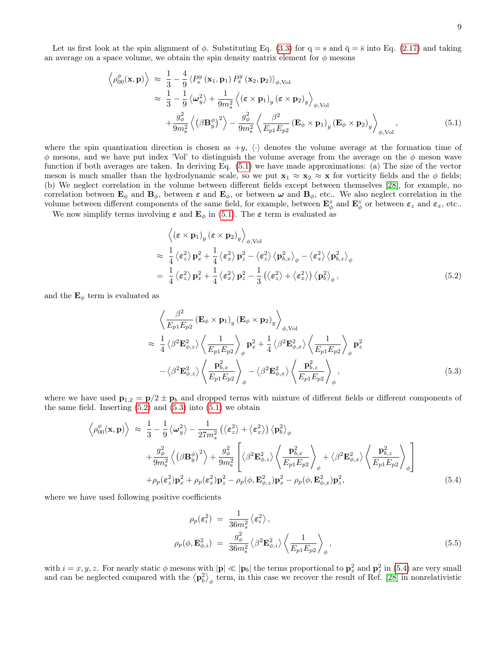Let us first look at the spin alignment of  $\phi$ . Substituting Eq. [\(3.3\)](#page-6-1) for  $q = s$  and  $\bar{q} = \bar{s}$  into Eq. [\(2.17\)](#page-3-2) and taking an average on a space volume, we obtain the spin density matrix element for  $\phi$  mesons

<span id="page-8-0"></span>
$$
\left\langle \rho_{00}^{\phi}(\mathbf{x}, \mathbf{p}) \right\rangle \approx \frac{1}{3} - \frac{4}{9} \left\langle P_s^y(\mathbf{x}_1, \mathbf{p}_1) P_s^y(\mathbf{x}_2, \mathbf{p}_2) \right\rangle_{\phi, \text{Vol}}
$$
  
\n
$$
\approx \frac{1}{3} - \frac{1}{9} \left\langle \omega_y^2 \right\rangle + \frac{1}{9m_s^2} \left\langle (\varepsilon \times \mathbf{p}_1)_y (\varepsilon \times \mathbf{p}_2)_y \right\rangle_{\phi, \text{Vol}}
$$
  
\n
$$
+ \frac{g_\phi^2}{9m_s^2} \left\langle (\beta \mathbf{B}_y^{\phi})^2 \right\rangle - \frac{g_\phi^2}{9m_s^2} \left\langle \frac{\beta^2}{E_{p1} E_{p2}} (\mathbf{E}_\phi \times \mathbf{p}_1)_y (\mathbf{E}_\phi \times \mathbf{p}_2)_y \right\rangle_{\phi, \text{Vol}},
$$
\n(5.1)

where the spin quantization direction is chosen as  $+y$ ,  $\langle \cdot \rangle$  denotes the volume average at the formation time of  $\phi$  mesons, and we have put index 'Vol' to distinguish the volume average from the average on the  $\phi$  meson wave function if both averages are taken. In deriving Eq. [\(5.1\)](#page-8-0) we have made approximations: (a) The size of the vector meson is much smaller than the hydrodynamic scale, so we put  $\mathbf{x}_1 \approx \mathbf{x}_2 \approx \mathbf{x}$  for vorticity fields and the  $\phi$  fields; (b) We neglect correlation in the volume between different fields except between themselves [\[28\]](#page-18-16), for example, no correlation between  $\mathbf{E}_{\phi}$  and  $\mathbf{B}_{\phi}$ , between  $\varepsilon$  and  $\mathbf{E}_{\phi}$ , or between  $\omega$  and  $\mathbf{B}_{\phi}$ , etc.. We also neglect correlation in the volume between different components of the same field, for example, between  $\mathbf{E}_{\phi}^x$  and  $\mathbf{E}_{\phi}^z$  or between  $\varepsilon_z$  and  $\varepsilon_x$ , etc..

We now simplify terms involving  $\varepsilon$  and  $\mathbf{E}_{\phi}$  in [\(5.1\)](#page-8-0). The  $\varepsilon$  term is evaluated as

<span id="page-8-1"></span>
$$
\langle (\varepsilon \times \mathbf{p}_1)_y (\varepsilon \times \mathbf{p}_2)_y \rangle_{\phi, \text{Vol}}
$$
  
\n
$$
\approx \frac{1}{4} \langle \varepsilon_z^2 \rangle \mathbf{p}_x^2 + \frac{1}{4} \langle \varepsilon_x^2 \rangle \mathbf{p}_z^2 - \langle \varepsilon_z^2 \rangle \langle \mathbf{p}_{b,x}^2 \rangle_{\phi} - \langle \varepsilon_x^2 \rangle \langle \mathbf{p}_{b,z}^2 \rangle_{\phi}
$$
  
\n
$$
= \frac{1}{4} \langle \varepsilon_z^2 \rangle \mathbf{p}_x^2 + \frac{1}{4} \langle \varepsilon_x^2 \rangle \mathbf{p}_z^2 - \frac{1}{3} (\langle \varepsilon_z^2 \rangle + \langle \varepsilon_x^2 \rangle) \langle \mathbf{p}_b^2 \rangle_{\phi},
$$
\n(5.2)

and the  $\mathbf{E}_{\phi}$  term is evaluated as

<span id="page-8-2"></span>
$$
\left\langle \frac{\beta^2}{E_{p1}E_{p2}} \left( \mathbf{E}_{\phi} \times \mathbf{p}_1 \right)_y \left( \mathbf{E}_{\phi} \times \mathbf{p}_2 \right)_y \right\rangle_{\phi, \text{Vol}}
$$
\n
$$
\approx \frac{1}{4} \left\langle \beta^2 \mathbf{E}_{\phi,z}^2 \right\rangle \left\langle \frac{1}{E_{p1}E_{p2}} \right\rangle_{\phi} \mathbf{p}_x^2 + \frac{1}{4} \left\langle \beta^2 \mathbf{E}_{\phi,x}^2 \right\rangle \left\langle \frac{1}{E_{p1}E_{p2}} \right\rangle_{\phi} \mathbf{p}_z^2
$$
\n
$$
- \left\langle \beta^2 \mathbf{E}_{\phi,z}^2 \right\rangle \left\langle \frac{\mathbf{p}_{b,x}^2}{E_{p1}E_{p2}} \right\rangle_{\phi} - \left\langle \beta^2 \mathbf{E}_{\phi,x}^2 \right\rangle \left\langle \frac{\mathbf{p}_{b,z}^2}{E_{p1}E_{p2}} \right\rangle_{\phi}, \tag{5.3}
$$

where we have used  $\mathbf{p}_{1,2} = \mathbf{p}/2 \pm \mathbf{p}_b$  and dropped terms with mixture of different fields or different components of the same field. Inserting  $(5.2)$  and  $(5.3)$  into  $(5.1)$  we obtain

<span id="page-8-3"></span>
$$
\left\langle \rho_{00}^{\phi}(\mathbf{x}, \mathbf{p}) \right\rangle \approx \frac{1}{3} - \frac{1}{9} \left\langle \omega_{y}^{2} \right\rangle - \frac{1}{27m_{s}^{2}} \left( \left\langle \varepsilon_{z}^{2} \right\rangle + \left\langle \varepsilon_{x}^{2} \right\rangle \right) \left\langle \mathbf{p}_{b}^{2} \right\rangle_{\phi} + \frac{g_{\phi}^{2}}{9m_{s}^{2}} \left\langle \left( \beta \mathbf{B}_{y}^{\phi} \right)^{2} \right\rangle + \frac{g_{\phi}^{2}}{9m_{s}^{2}} \left[ \left\langle \beta^{2} \mathbf{E}_{\phi,z}^{2} \right\rangle \left\langle \frac{\mathbf{p}_{b,x}^{2}}{E_{p1} E_{p2}} \right\rangle_{\phi} + \left\langle \beta^{2} \mathbf{E}_{\phi,x}^{2} \right\rangle \left\langle \frac{\mathbf{p}_{b,z}^{2}}{E_{p1} E_{p2}} \right\rangle_{\phi} \right] + \rho_{p}(\varepsilon_{z}^{2}) \mathbf{p}_{x}^{2} + \rho_{p}(\varepsilon_{x}^{2}) \mathbf{p}_{z}^{2} - \rho_{p}(\phi, \mathbf{E}_{\phi,z}^{2}) \mathbf{p}_{x}^{2} - \rho_{p}(\phi, \mathbf{E}_{\phi,x}^{2}) \mathbf{p}_{z}^{2}, \tag{5.4}
$$

where we have used following positive coefficients

$$
\rho_p(\varepsilon_i^2) = \frac{1}{36m_s^2} \langle \varepsilon_i^2 \rangle ,
$$
\n
$$
\rho_p(\phi, \mathbf{E}_{\phi, i}^2) = \frac{g_{\phi}^2}{36m_s^2} \langle \beta^2 \mathbf{E}_{\phi, i}^2 \rangle \left\langle \frac{1}{E_{p1} E_{p2}} \right\rangle_{\phi},
$$
\n(5.5)

with  $i = x, y, z$ . For nearly static  $\phi$  mesons with  $|\mathbf{p}| \ll |\mathbf{p}_b|$  the terms proportional to  $\mathbf{p}_x^2$  and  $\mathbf{p}_z^2$  in [\(5.4\)](#page-8-3) are very small and can be neglected compared with the  $\langle p_b^2 \rangle_{\phi}$  term, in this case we recover the result of Ref. [\[28\]](#page-18-16) in nonrelativistic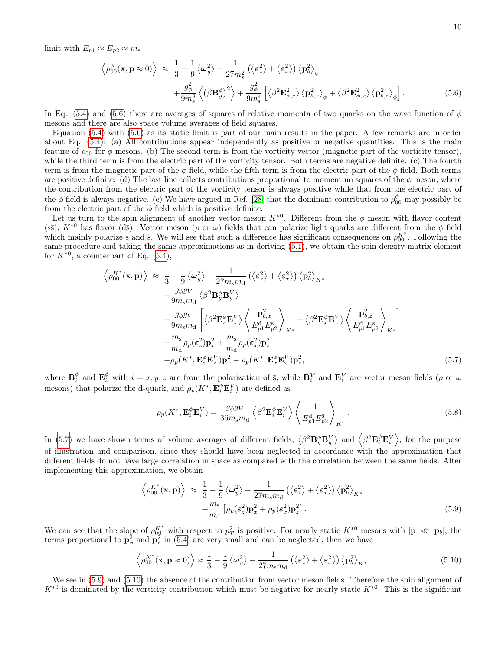limit with  $E_{p1} \approx E_{p2} \approx m_s$ 

<span id="page-9-0"></span>
$$
\left\langle \rho_{00}^{\phi}(\mathbf{x}, \mathbf{p} \approx 0) \right\rangle \approx \frac{1}{3} - \frac{1}{9} \left\langle \omega_{y}^{2} \right\rangle - \frac{1}{27 m_{s}^{2}} \left( \left\langle \varepsilon_{z}^{2} \right\rangle + \left\langle \varepsilon_{x}^{2} \right\rangle \right) \left\langle \mathbf{p}_{b}^{2} \right\rangle_{\phi} + \frac{g_{\phi}^{2}}{9 m_{s}^{2}} \left\langle \left( \beta \mathbf{B}_{y}^{\phi} \right)^{2} \right\rangle + \frac{g_{\phi}^{2}}{9 m_{s}^{4}} \left[ \left\langle \beta^{2} \mathbf{E}_{\phi,z}^{2} \right\rangle \left\langle \mathbf{p}_{b,x}^{2} \right\rangle_{\phi} + \left\langle \beta^{2} \mathbf{E}_{\phi,x}^{2} \right\rangle \left\langle \mathbf{p}_{b,z}^{2} \right\rangle_{\phi} \right].
$$
 (5.6)

In Eq. [\(5.4\)](#page-8-3) and [\(5.6\)](#page-9-0) there are averages of squares of relative momenta of two quarks on the wave function of  $\phi$ mesons and there are also space volume averages of field squares.

Equation [\(5.4\)](#page-8-3) with [\(5.6\)](#page-9-0) as its static limit is part of our main results in the paper. A few remarks are in order about Eq. [\(5.4\)](#page-8-3): (a) All contributions appear independently as positive or negative quantities. This is the main feature of  $\rho_{00}$  for  $\phi$  mesons. (b) The second term is from the vorticity vector (magnetic part of the vorticity tensor), while the third term is from the electric part of the vorticity tensor. Both terms are negative definite. (c) The fourth term is from the magnetic part of the  $\phi$  field, while the fifth term is from the electric part of the  $\phi$  field. Both terms are positive definite. (d) The last line collects contributions proportional to momentum squares of the  $\phi$  meson, where the contribution from the electric part of the vorticity tensor is always positive while that from the electric part of the  $\phi$  field is always negative. (e) We have argued in Ref. [\[28\]](#page-18-16) that the dominant contribution to  $\rho_{00}^{\phi}$  may possibly be from the electric part of the  $\phi$  field which is positive definite.

Let us turn to the spin alignment of another vector meson  $K^{*0}$ . Different from the  $\phi$  meson with flavor content (ss),  $K^{*0}$  has flavor (ds). Vector meson ( $\rho$  or  $\omega$ ) fields that can polarize light quarks are different from the  $\phi$  field which mainly polarize s and  $\bar{s}$ . We will see that such a difference has significant consequences on  $\rho_{00}^{K^*}$ . Following the same procedure and taking the same approximations as in deriving [\(5.1\)](#page-8-0), we obtain the spin density matrix element for  $K^{*0}$ , a counterpart of Eq. [\(5.4\)](#page-8-3),

<span id="page-9-1"></span>
$$
\left\langle \rho_{00}^{K^*}(\mathbf{x}, \mathbf{p}) \right\rangle \approx \frac{1}{3} - \frac{1}{9} \left\langle \omega_y^2 \right\rangle - \frac{1}{27 m_s m_d} \left( \left\langle \varepsilon_z^2 \right\rangle + \left\langle \varepsilon_x^2 \right\rangle \right) \left\langle \mathbf{p}_b^2 \right\rangle_{K^*} + \frac{g_\phi g_V}{9 m_s m_d} \left\langle \beta^2 \mathbf{B}_y^6 \mathbf{B}_y^V \right\rangle + \frac{g_\phi g_V}{9 m_s m_d} \left[ \left\langle \beta^2 \mathbf{E}_z^{\phi} \mathbf{E}_z^V \right\rangle \left\langle \frac{\mathbf{p}_{b,x}^2}{E_{p1}^4 E_{p2}^s} \right\rangle_{K^*} + \left\langle \beta^2 \mathbf{E}_x^{\phi} \mathbf{E}_x^V \right\rangle \left\langle \frac{\mathbf{p}_{b,z}^2}{E_{p1}^4 E_{p2}^s} \right\rangle_{K^*} \right] + \frac{m_s}{m_d} \rho_p(\varepsilon_z^2) \mathbf{p}_x^2 + \frac{m_s}{m_d} \rho_p(\varepsilon_x^2) \mathbf{p}_z^2 - \rho_p(K^*, \mathbf{E}_x^{\phi} \mathbf{E}_z^V) \mathbf{p}_x^2 - \rho_p(K^*, \mathbf{E}_x^{\phi} \mathbf{E}_x^V) \mathbf{p}_z^2,
$$
(5.7)

where  $\mathbf{B}_i^{\phi}$  and  $\mathbf{E}_i^{\phi}$  with  $i = x, y, z$  are from the polarization of  $\bar{s}$ , while  $\mathbf{B}_i^V$  and  $\mathbf{E}_i^V$  are vector meson fields ( $\rho$  or  $\omega$ mesons) that polarize the d-quark, and  $\rho_p(K^*, \mathbf{E}_i^{\phi} \mathbf{E}_i^V)$  are defined as

$$
\rho_p(K^*, \mathbf{E}_i^{\phi} \mathbf{E}_i^V) = \frac{g_{\phi} g_V}{36 m_s m_d} \left\langle \beta^2 \mathbf{E}_i^{\phi} \mathbf{E}_i^V \right\rangle \left\langle \frac{1}{E_{p1}^{\rm d} E_{p2}^{\rm s}} \right\rangle_{K^*}.
$$
\n(5.8)

In [\(5.7\)](#page-9-1) we have shown terms of volume averages of different fields,  $\langle \beta^2 \mathbf{B}_y^{\phi} \mathbf{B}_y^V \rangle$  and  $\langle \beta^2 \mathbf{E}_i^{\phi} \mathbf{E}_i^V \rangle$ , for the purpose of illustration and comparison, since they should have been neglected in accordance with the approximation that different fields do not have large correlation in space as compared with the correlation between the same fields. After implementing this approximation, we obtain

<span id="page-9-2"></span>
$$
\left\langle \rho_0^{K^*}(\mathbf{x}, \mathbf{p}) \right\rangle \approx \frac{1}{3} - \frac{1}{9} \left\langle \omega_y^2 \right\rangle - \frac{1}{27 m_s m_d} \left( \left\langle \varepsilon_z^2 \right\rangle + \left\langle \varepsilon_x^2 \right\rangle \right) \left\langle \mathbf{p}_b^2 \right\rangle_{K^*} + \frac{m_s}{m_d} \left[ \rho_p(\varepsilon_z^2) \mathbf{p}_x^2 + \rho_p(\varepsilon_x^2) \mathbf{p}_z^2 \right]. \tag{5.9}
$$

We can see that the slope of  $\rho_{00}^{K^*}$  with respect to  $p_T^2$  is positive. For nearly static  $K^{*0}$  mesons with  $|\mathbf{p}| \ll |\mathbf{p}_b|$ , the terms proportional to  $\mathbf{p}_x^2$  and  $\mathbf{p}_z^2$  in [\(5.4\)](#page-8-3) are very small and can be neglected, then we have

<span id="page-9-3"></span>
$$
\left\langle \rho_0^{K^*}(\mathbf{x}, \mathbf{p} \approx 0) \right\rangle \approx \frac{1}{3} - \frac{1}{9} \left\langle \omega_y^2 \right\rangle - \frac{1}{27 m_s m_d} \left( \left\langle \varepsilon_z^2 \right\rangle + \left\langle \varepsilon_x^2 \right\rangle \right) \left\langle \mathbf{p}_b^2 \right\rangle_{K^*} . \tag{5.10}
$$

We see in  $(5.9)$  and  $(5.10)$  the absence of the contribution from vector meson fields. Therefore the spin alignment of  $K^{*0}$  is dominated by the vorticity contribution which must be negative for nearly static  $K^{*0}$ . This is the significant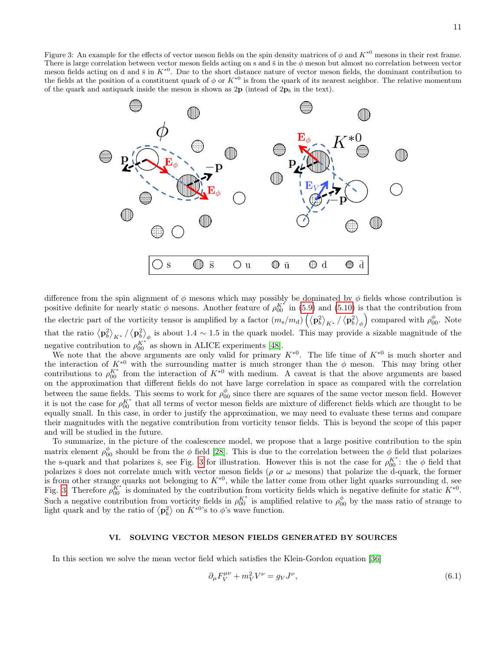<span id="page-10-1"></span>Figure 3: An example for the effects of vector meson fields on the spin density matrices of  $\phi$  and  $K^{*0}$  mesons in their rest frame. There is large correlation between vector meson fields acting on s and  $\bar{s}$  in the  $\phi$  meson but almost no correlation between vector meson fields acting on d and  $\bar{s}$  in  $K^{*0}$ . Due to the short distance nature of vector meson fields, the dominant contribution to the fields at the position of a constituent quark of  $\phi$  or  $K^{*0}$  is from the quark of its nearest neighbor. The relative momentum of the quark and antiquark inside the meson is shown as  $2p$  (intead of  $2p_b$  in the text).



difference from the spin alignment of  $\phi$  mesons which may possibly be dominated by  $\phi$  fields whose contribution is positive definite for nearly static  $\phi$  mesons. Another feature of  $\rho_{00}^{K^*}$  in [\(5.9\)](#page-9-2) and [\(5.10\)](#page-9-3) is that the contribution from the electric part of the vorticity tensor is amplified by a factor  $(m_s/m_d)\left(\langle{\bf p}_b^2\rangle_{K^*}/\langle{\bf p}_b^2\rangle_\phi\right)$  compared with  $\rho_{00}^{\phi}$ . Note that the ratio  $\langle \mathbf{p}_b^2 \rangle_{K^*}/\langle \mathbf{p}_b^2 \rangle_{\phi}$  is about 1.4 ~ 1.5 in the quark model. This may provide a sizable magnitude of the negative contribution to  $\rho_{00}^{K^*}$  as shown in ALICE experiments [\[48\]](#page-19-3).

We note that the above arguments are only valid for primary  $K^{*0}$ . The life time of  $K^{*0}$  is much shorter and the interaction of  $K^{*0}$  with the surrounding matter is much stronger than the  $\phi$  meson. This may bring other contributions to  $\rho_{00}^{K^*}$  from the interaction of  $K^{*0}$  with medium. A caveat is that the above arguments are based on the approximation that different fields do not have large correlation in space as compared with the correlation between the same fields. This seems to work for  $\rho_{00}^{\phi}$  since there are squares of the same vector meson field. However it is not the case for  $\rho_{00}^{K^*}$  that all terms of vector meson fields are mixture of differenct fields which are thought to be equally small. In this case, in order to justify the approximation, we may need to evaluate these terms and compare their magnitudes with the negative comtribution from vorticity tensor fields. This is beyond the scope of this paper and will be studied in the future.

To summarize, in the picture of the coalescence model, we propose that a large positive contribution to the spin matrix element  $\rho_{00}^{\phi}$  should be from the  $\phi$  field [\[28\]](#page-18-16). This is due to the correlation between the  $\phi$  field that polarizes the s-quark and that polarizes  $\bar{s}$ , see Fig. [3](#page-10-1) for illustration. However this is not the case for  $\rho_{00}^{K^*}$ : the  $\phi$  field that polarizes  $\bar{s}$  does not correlate much with vector meson fields ( $\rho$  or  $\omega$  mesons) that polarize the d-quark, the former is from other strange quarks not belonging to  $K^{*0}$ , while the latter come from other light quarks surrounding d, see Fig. [3.](#page-10-1) Therefore  $\rho_{00}^{K^*}$  is dominated by the contribution from vorticity fields which is negative definite for static  $K^{*0}$ . Such a negative contribution from vorticity fields in  $\rho_{00}^{K^*}$  is amplified relative to  $\rho_{00}^{\phi}$  by the mass ratio of strange to light quark and by the ratio of  $\langle \mathbf{p}_b^2 \rangle$  on  $K^{*0}$ 's to  $\phi$ 's wave function.

# <span id="page-10-0"></span>VI. SOLVING VECTOR MESON FIELDS GENERATED BY SOURCES

In this section we solve the mean vector field which satisfies the Klein-Gordon equation [\[36\]](#page-18-23)

<span id="page-10-2"></span>
$$
\partial_{\mu}F_{V}^{\mu\nu} + m_{V}^{2}V^{\nu} = g_{V}J^{\nu},\tag{6.1}
$$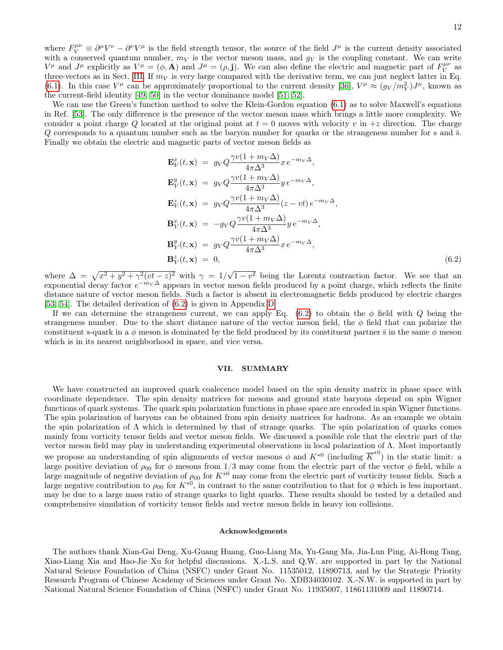where  $F_V^{\mu\nu} \equiv \partial^\mu V^\nu - \partial^\nu V^\mu$  is the field strength tensor, the source of the field  $J^\mu$  is the current density associated with a conserved quantum number,  $m_V$  is the vector meson mass, and  $g_V$  is the coupling constant. We can write  $V^{\mu}$  and  $J^{\mu}$  explicitly as  $V^{\mu} = (\phi, \mathbf{A})$  and  $J^{\mu} = (\rho, \mathbf{j})$ . We can also define the electric and magnetic part of  $F_V^{\mu\nu}$  as three-vectors as in Sect. [III.](#page-5-0) If  $m_V$  is very large compared with the derivative term, we can just neglect latter in Eq. [\(6.1\)](#page-10-2). In this case  $V^{\mu}$  can be approximately proportional to the current density [\[36\]](#page-18-23),  $V^{\mu} \approx (g_V/m_V^2)J^{\mu}$ , known as the current-field identity [\[49,](#page-19-4) [50\]](#page-19-5) in the vector dominance model [\[51,](#page-19-6) [52\]](#page-19-7).

We can use the Green's function method to solve the Klein-Gordon equation  $(6.1)$  as to solve Maxwell's equations in Ref. [\[53\]](#page-19-8). The only difference is the presence of the vector meson mass which brings a little more complexity. We consider a point charge Q located at the original point at  $t = 0$  moves with velocity v in  $+z$  direction. The charge  $Q$  corresponds to a quantum number such as the baryon number for quarks or the strangeness number for s and  $\bar{s}$ . Finally we obtain the electric and magnetic parts of vector meson fields as

<span id="page-11-0"></span>
$$
\mathbf{E}_{V}^{x}(t,\mathbf{x}) = g_{V}Q \frac{\gamma v(1 + m_{V}\Delta)}{4\pi\Delta^{3}} x e^{-m_{V}\Delta},
$$
\n
$$
\mathbf{E}_{V}^{y}(t,\mathbf{x}) = g_{V}Q \frac{\gamma v(1 + m_{V}\Delta)}{4\pi\Delta^{3}} y e^{-m_{V}\Delta},
$$
\n
$$
\mathbf{E}_{V}^{z}(t,\mathbf{x}) = g_{V}Q \frac{\gamma v(1 + m_{V}\Delta)}{4\pi\Delta^{3}} (z - vt) e^{-m_{V}\Delta},
$$
\n
$$
\mathbf{B}_{V}^{x}(t,\mathbf{x}) = -g_{V}Q \frac{\gamma v(1 + m_{V}\Delta)}{4\pi\Delta^{3}} y e^{-m_{V}\Delta},
$$
\n
$$
\mathbf{B}_{V}^{y}(t,\mathbf{x}) = g_{V}Q \frac{\gamma v(1 + m_{V}\Delta)}{4\pi\Delta^{3}} x e^{-m_{V}\Delta},
$$
\n
$$
\mathbf{B}_{V}^{z}(t,\mathbf{x}) = 0,
$$
\n(6.2)

where  $\Delta = \sqrt{x^2 + y^2 + \gamma^2 (vt - z)^2}$  with  $\gamma = 1/\sqrt{ }$  $1-v^2$  being the Lorentz contraction factor. We see that an exponential decay factor  $e^{-m_V\Delta}$  appears in vector meson fields produced by a point charge, which reflects the finite distance nature of vector meson fields. Such a factor is absent in electromagnetic fields produced by electric charges [\[53,](#page-19-8) [54\]](#page-19-9). The detailed derivation of [\(6.2\)](#page-11-0) is given in Appendix [D.](#page-16-0)

If we can determine the strangeness current, we can apply Eq. [\(6.2\)](#page-11-0) to obtain the  $\phi$  field with  $Q$  being the strangeness number. Due to the short distance nature of the vector meson field, the  $\phi$  field that can polarize the constituent s-quark in a  $\phi$  meson is dominated by the field produced by its constituent partner  $\bar{s}$  in the same  $\phi$  meson which is in its nearest neighborhood in space, and vice versa.

# VII. SUMMARY

We have constructed an improved quark coalecence model based on the spin density matrix in phase space with coordinate dependence. The spin density matrices for mesons and ground state baryons depend on spin Wigner functions of quark systems. The quark spin polarization functions in phase space are encoded in spin Wigner functions. The spin polarization of baryons can be obtained from spin density matrices for hadrons. As an example we obtain the spin polarization of Λ which is determined by that of strange quarks. The spin polarization of quarks comes mainly from vorticity tensor fields and vector meson fields. We discussed a possible role that the electric part of the vector meson field may play in understanding experimental observations in local polarization of Λ. Most importantly we propose an understanding of spin alignments of vector mesons  $\phi$  and  $K^{*0}$  (including  $\overline{K}^{*0}$ ) in the static limit: a large positive deviation of  $\rho_{00}$  for  $\phi$  mesons from 1/3 may come from the electric part of the vector  $\phi$  field, while a large magnitude of negative deviation of  $\rho_{00}$  for  $K^{*0}$  may come from the electric part of vorticity tensor fields. Such a large negative contribution to  $\rho_{00}$  for  $K^{*0}$ , in contrast to the same contribution to that for  $\phi$  which is less important, may be due to a large mass ratio of strange quarks to light quarks. These results should be tested by a detailed and comprehensive simulation of vorticity tensor fields and vector meson fields in heavy ion collisions.

## Acknowledgments

The authors thank Xian-Gai Deng, Xu-Guang Huang, Guo-Liang Ma, Yu-Gang Ma, Jia-Lun Ping, Ai-Hong Tang, Xiao-Liang Xia and Hao-Jie Xu for helpful discussions. X.-L.S. and Q.W. are supported in part by the National Natural Science Foundation of China (NSFC) under Grant No. 11535012, 11890713, and by the Strategic Priority Research Program of Chinese Academy of Sciences under Grant No. XDB34030102. X.-N.W. is supported in part by National Natural Science Foundation of China (NSFC) under Grant No. 11935007, 11861131009 and 11890714.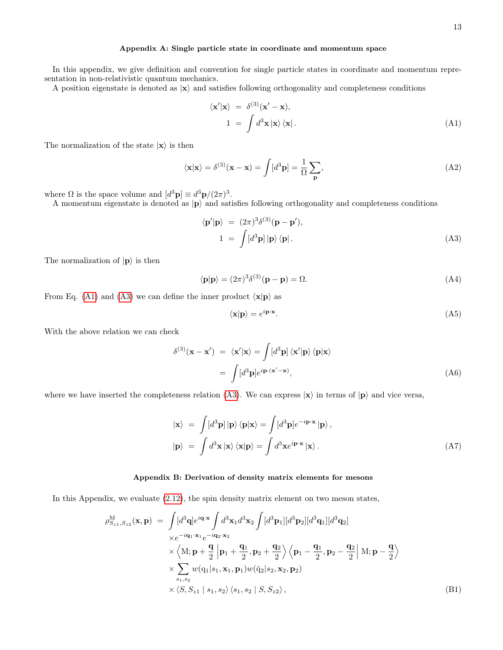# <span id="page-12-0"></span>Appendix A: Single particle state in coordinate and momentum space

In this appendix, we give definition and convention for single particle states in coordinate and momentum representation in non-relativistic quantum mechanics.

A position eigenstate is denoted as  $|x\rangle$  and satisfies following orthogonality and completeness conditions

<span id="page-12-2"></span>
$$
\langle \mathbf{x}' | \mathbf{x} \rangle = \delta^{(3)}(\mathbf{x}' - \mathbf{x}),
$$
  
\n
$$
1 = \int d^3 \mathbf{x} | \mathbf{x} \rangle \langle \mathbf{x} |.
$$
 (A1)

The normalization of the state  $|x\rangle$  is then

$$
\langle \mathbf{x} | \mathbf{x} \rangle = \delta^{(3)}(\mathbf{x} - \mathbf{x}) = \int [d^3 \mathbf{p}] = \frac{1}{\Omega} \sum_{\mathbf{p}}, \tag{A2}
$$

where  $\Omega$  is the space volume and  $[d^3\mathbf{p}] \equiv d^3\mathbf{p}/(2\pi)^3$ .

A momentum eigenstate is denoted as  $|p\rangle$  and satisfies following orthogonality and completeness conditions

<span id="page-12-3"></span>
$$
\langle \mathbf{p}' | \mathbf{p} \rangle = (2\pi)^3 \delta^{(3)} (\mathbf{p} - \mathbf{p}'),
$$
  
\n
$$
1 = \int [d^3 \mathbf{p}] | \mathbf{p} \rangle \langle \mathbf{p} |.
$$
\n(A3)

The normalization of  $|{\bf p}\rangle$  is then

$$
\langle \mathbf{p} | \mathbf{p} \rangle = (2\pi)^3 \delta^{(3)}(\mathbf{p} - \mathbf{p}) = \Omega.
$$
 (A4)

From Eq. [\(A1\)](#page-12-2) and [\(A3\)](#page-12-3) we can define the inner product  $\langle \mathbf{x} | \mathbf{p} \rangle$  as

$$
\langle \mathbf{x} | \mathbf{p} \rangle = e^{i \mathbf{p} \cdot \mathbf{x}}.\tag{A5}
$$

With the above relation we can check

$$
\delta^{(3)}(\mathbf{x} - \mathbf{x}') = \langle \mathbf{x}' | \mathbf{x} \rangle = \int [d^3 \mathbf{p}] \langle \mathbf{x}' | \mathbf{p} \rangle \langle \mathbf{p} | \mathbf{x} \rangle
$$
  
= 
$$
\int [d^3 \mathbf{p}] e^{i \mathbf{p} \cdot (\mathbf{x}' - \mathbf{x})},
$$
(A6)

where we have inserted the completeness relation [\(A3\)](#page-12-3). We can express  $|x\rangle$  in terms of  $|p\rangle$  and vice versa,

$$
|\mathbf{x}\rangle = \int [d^3 \mathbf{p}] |\mathbf{p}\rangle \langle \mathbf{p} | \mathbf{x}\rangle = \int [d^3 \mathbf{p}] e^{-i \mathbf{p} \cdot \mathbf{x}} |\mathbf{p}\rangle, |\mathbf{p}\rangle = \int d^3 \mathbf{x} |\mathbf{x}\rangle \langle \mathbf{x} | \mathbf{p}\rangle = \int d^3 \mathbf{x} e^{i \mathbf{p} \cdot \mathbf{x}} |\mathbf{x}\rangle.
$$
 (A7)

# <span id="page-12-1"></span>Appendix B: Derivation of density matrix elements for mesons

In this Appendix, we evaluate [\(2.12\)](#page-2-3), the spin density matrix element on two meson states,

<span id="page-12-4"></span>
$$
\rho_{S_{z1},S_{z2}}^{\mathbf{M}}(\mathbf{x},\mathbf{p}) = \int [d^{3}\mathbf{q}] e^{i\mathbf{q}\cdot\mathbf{x}} \int d^{3}\mathbf{x}_{1} d^{3}\mathbf{x}_{2} \int [d^{3}\mathbf{p}_{1}][d^{3}\mathbf{p}_{2}][d^{3}\mathbf{q}_{1}][d^{3}\mathbf{q}_{2}]
$$
\n
$$
\times e^{-i\mathbf{q}_{1}\cdot\mathbf{x}_{1}} e^{-i\mathbf{q}_{2}\cdot\mathbf{x}_{2}}
$$
\n
$$
\times \left\langle \mathbf{M}; \mathbf{p} + \frac{\mathbf{q}}{2} \right| \mathbf{p}_{1} + \frac{\mathbf{q}_{1}}{2}, \mathbf{p}_{2} + \frac{\mathbf{q}_{2}}{2} \right\rangle \left\langle \mathbf{p}_{1} - \frac{\mathbf{q}_{1}}{2}, \mathbf{p}_{2} - \frac{\mathbf{q}_{2}}{2} \right| \mathbf{M}; \mathbf{p} - \frac{\mathbf{q}}{2} \right\rangle
$$
\n
$$
\times \sum_{s_{1},s_{2}} w(\mathbf{q}_{1}|s_{1},\mathbf{x}_{1},\mathbf{p}_{1}) w(\bar{\mathbf{q}}_{2}|s_{2},\mathbf{x}_{2},\mathbf{p}_{2})
$$
\n
$$
\times \left\langle S, S_{z1} | s_{1}, s_{2} \right\rangle \left\langle s_{1}, s_{2} | S, S_{z2} \right\rangle, \tag{B1}
$$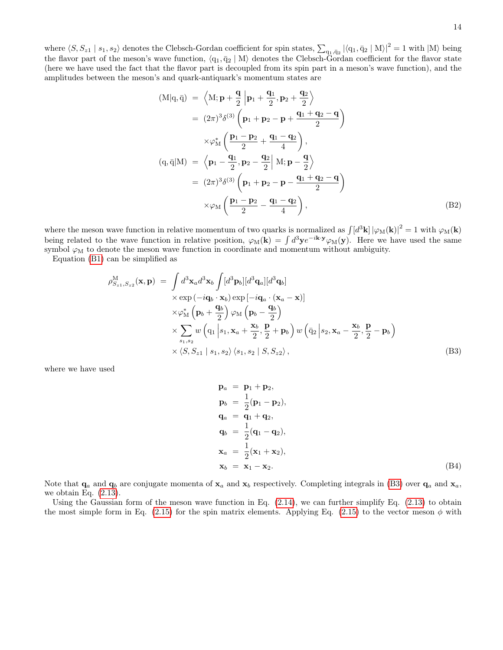where  $\langle S, S_{z1} | s_1, s_2 \rangle$  denotes the Clebsch-Gordan coefficient for spin states,  $\sum_{q_1, \bar{q}_2} |\langle q_1, \bar{q}_2 | M \rangle|^2 = 1$  with  $|M \rangle$  being the flavor part of the meson's wave function,  $\langle q_1, \bar{q}_2 | M \rangle$  denotes the Clebsch-Gordan coefficient for the flavor state (here we have used the fact that the flavor part is decoupled from its spin part in a meson's wave function), and the amplitudes between the meson's and quark-antiquark's momentum states are

$$
(M|q, \bar{q}) = \left\langle M; \mathbf{p} + \frac{\mathbf{q}}{2} | \mathbf{p}_1 + \frac{\mathbf{q}_1}{2}, \mathbf{p}_2 + \frac{\mathbf{q}_2}{2} \right\rangle
$$
  
\n
$$
= (2\pi)^3 \delta^{(3)} \left( \mathbf{p}_1 + \mathbf{p}_2 - \mathbf{p} + \frac{\mathbf{q}_1 + \mathbf{q}_2 - \mathbf{q}}{2} \right)
$$
  
\n
$$
\times \varphi_M^* \left( \frac{\mathbf{p}_1 - \mathbf{p}_2}{2} + \frac{\mathbf{q}_1 - \mathbf{q}_2}{4} \right),
$$
  
\n
$$
(q, \bar{q}|M) = \left\langle \mathbf{p}_1 - \frac{\mathbf{q}_1}{2}, \mathbf{p}_2 - \frac{\mathbf{q}_2}{2} | M; \mathbf{p} - \frac{\mathbf{q}}{2} \right\rangle
$$
  
\n
$$
= (2\pi)^3 \delta^{(3)} \left( \mathbf{p}_1 + \mathbf{p}_2 - \mathbf{p} - \frac{\mathbf{q}_1 + \mathbf{q}_2 - \mathbf{q}}{2} \right)
$$
  
\n
$$
\times \varphi_M \left( \frac{\mathbf{p}_1 - \mathbf{p}_2}{2} - \frac{\mathbf{q}_1 - \mathbf{q}_2}{4} \right),
$$
  
\n(B2)

where the meson wave function in relative momentum of two quarks is normalized as  $\int [d^3\mathbf{k}] |\varphi_M(\mathbf{k})|^2 = 1$  with  $\varphi_M(\mathbf{k})$ being related to the wave function in relative position,  $\varphi_M(\mathbf{k}) = \int d^3\mathbf{y} e^{-i\mathbf{k} \cdot \mathbf{y}} \varphi_M(\mathbf{y})$ . Here we have used the same symbol  $\varphi_M$  to denote the meson wave function in coordinate and momentum without ambiguity.

Equation [\(B1\)](#page-12-4) can be simplified as

<span id="page-13-1"></span>
$$
\rho_{S_{z1},S_{z2}}^{\mathbf{M}}(\mathbf{x},\mathbf{p}) = \int d^{3}\mathbf{x}_{a}d^{3}\mathbf{x}_{b} \int [d^{3}\mathbf{p}_{b}][d^{3}\mathbf{q}_{a}][d^{3}\mathbf{q}_{b}]
$$
\n
$$
\times \exp(-i\mathbf{q}_{b} \cdot \mathbf{x}_{b}) \exp[-i\mathbf{q}_{a} \cdot (\mathbf{x}_{a} - \mathbf{x})]
$$
\n
$$
\times \varphi_{\mathbf{M}}^{*}(\mathbf{p}_{b} + \frac{\mathbf{q}_{b}}{2}) \varphi_{\mathbf{M}}(\mathbf{p}_{b} - \frac{\mathbf{q}_{b}}{2})
$$
\n
$$
\times \sum_{s_{1},s_{2}} w(\mathbf{q}_{1} | s_{1}, \mathbf{x}_{a} + \frac{\mathbf{x}_{b}}{2}, \frac{\mathbf{p}}{2} + \mathbf{p}_{b}) w(\bar{\mathbf{q}}_{2} | s_{2}, \mathbf{x}_{a} - \frac{\mathbf{x}_{b}}{2}, \frac{\mathbf{p}}{2} - \mathbf{p}_{b})
$$
\n
$$
\times \langle S, S_{z1} | s_{1}, s_{2} \rangle \langle s_{1}, s_{2} | S, S_{z2} \rangle, \qquad (B3)
$$

where we have used

<span id="page-13-0"></span>
$$
\mathbf{p}_a = \mathbf{p}_1 + \mathbf{p}_2,
$$
  
\n
$$
\mathbf{p}_b = \frac{1}{2} (\mathbf{p}_1 - \mathbf{p}_2),
$$
  
\n
$$
\mathbf{q}_a = \mathbf{q}_1 + \mathbf{q}_2,
$$
  
\n
$$
\mathbf{q}_b = \frac{1}{2} (\mathbf{q}_1 - \mathbf{q}_2),
$$
  
\n
$$
\mathbf{x}_a = \frac{1}{2} (\mathbf{x}_1 + \mathbf{x}_2),
$$
  
\n
$$
\mathbf{x}_b = \mathbf{x}_1 - \mathbf{x}_2.
$$
\n(B4)

Note that  $\mathbf{q}_a$  and  $\mathbf{q}_b$  are conjugate momenta of  $\mathbf{x}_a$  and  $\mathbf{x}_b$  respectively. Completing integrals in [\(B3\)](#page-13-1) over  $\mathbf{q}_a$  and  $\mathbf{x}_a$ , we obtain Eq.  $(2.13)$ .

Using the Gaussian form of the meson wave function in Eq. [\(2.14\)](#page-3-3), we can further simplify Eq. [\(2.13\)](#page-2-4) to obtain the most simple form in Eq. [\(2.15\)](#page-3-1) for the spin matrix elements. Applying Eq. (2.15) to the vector meson  $\phi$  with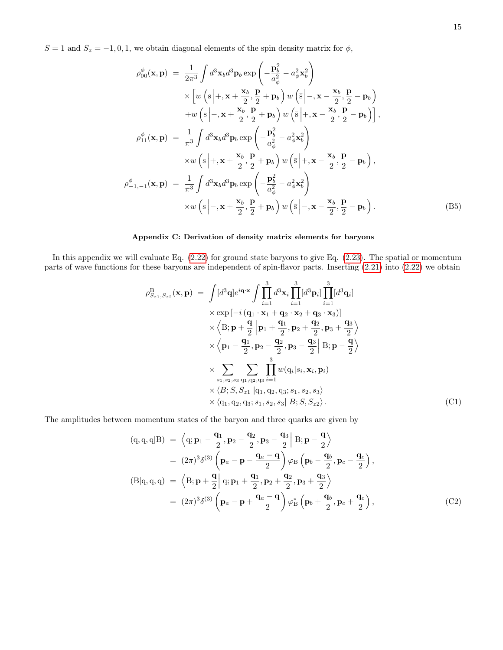$S = 1$  and  $S_z = -1, 0, 1$ , we obtain diagonal elements of the spin density matrix for  $\phi$ ,

<span id="page-14-0"></span>
$$
\rho_{00}^{\phi}(\mathbf{x}, \mathbf{p}) = \frac{1}{2\pi^{3}} \int d^{3} \mathbf{x}_{b} d^{3} \mathbf{p}_{b} \exp\left(-\frac{\mathbf{p}_{b}^{2}}{a_{\phi}^{2}} - a_{\phi}^{2} \mathbf{x}_{b}^{2}\right)
$$
\n
$$
\times \left[w\left(s\middle| +, \mathbf{x} + \frac{\mathbf{x}_{b}}{2}, \frac{\mathbf{p}}{2} + \mathbf{p}_{b}\right)w\left(\bar{s}\middle| -, \mathbf{x} - \frac{\mathbf{x}_{b}}{2}, \frac{\mathbf{p}}{2} - \mathbf{p}_{b}\right)
$$
\n
$$
+ w\left(s\middle| -, \mathbf{x} + \frac{\mathbf{x}_{b}}{2}, \frac{\mathbf{p}}{2} + \mathbf{p}_{b}\right)w\left(\bar{s}\middle| +, \mathbf{x} - \frac{\mathbf{x}_{b}}{2}, \frac{\mathbf{p}}{2} - \mathbf{p}_{b}\right)\right],
$$
\n
$$
\rho_{11}^{\phi}(\mathbf{x}, \mathbf{p}) = \frac{1}{\pi^{3}} \int d^{3} \mathbf{x}_{b} d^{3} \mathbf{p}_{b} \exp\left(-\frac{\mathbf{p}_{b}^{2}}{a_{\phi}^{2}} - a_{\phi}^{2} \mathbf{x}_{b}^{2}\right)
$$
\n
$$
\times w\left(s\middle| +, \mathbf{x} + \frac{\mathbf{x}_{b}}{2}, \frac{\mathbf{p}}{2} + \mathbf{p}_{b}\right)w\left(\bar{s}\middle| +, \mathbf{x} - \frac{\mathbf{x}_{b}}{2}, \frac{\mathbf{p}}{2} - \mathbf{p}_{b}\right),
$$
\n
$$
\rho_{-1,-1}^{\phi}(\mathbf{x}, \mathbf{p}) = \frac{1}{\pi^{3}} \int d^{3} \mathbf{x}_{b} d^{3} \mathbf{p}_{b} \exp\left(-\frac{\mathbf{p}_{b}^{2}}{a_{\phi}^{2}} - a_{\phi}^{2} \mathbf{x}_{b}^{2}\right)
$$
\n
$$
\times w\left(s\middle| -, \mathbf{x} + \frac{\mathbf{x}_{b}}{2}, \frac{\mathbf{p}}{2} + \mathbf{p}_{b}\right)w\left(\bar{s}\middle| -, \mathbf{x} - \frac{\mathbf{x}_{b}}{2}, \frac
$$

# <span id="page-14-1"></span>Appendix C: Derivation of density matrix elements for baryons

In this appendix we will evaluate Eq. [\(2.22\)](#page-4-1) for ground state baryons to give Eq. [\(2.23\)](#page-4-0). The spatial or momentum parts of wave functions for these baryons are independent of spin-flavor parts. Inserting [\(2.21\)](#page-4-2) into [\(2.22\)](#page-4-1) we obtain

<span id="page-14-3"></span>
$$
\rho_{S_{z1},S_{z2}}^{\text{B}}(\mathbf{x},\mathbf{p}) = \int [d^3\mathbf{q}] e^{i\mathbf{q}\cdot\mathbf{x}} \int \prod_{i=1}^{3} d^3\mathbf{x}_i \prod_{i=1}^{3} [d^3\mathbf{p}_i] \prod_{i=1}^{3} [d^3\mathbf{q}_i]
$$
  
\n
$$
\times \exp[-i(\mathbf{q}_1 \cdot \mathbf{x}_1 + \mathbf{q}_2 \cdot \mathbf{x}_2 + \mathbf{q}_3 \cdot \mathbf{x}_3)]
$$
  
\n
$$
\times \left\langle \mathbf{B}; \mathbf{p} + \frac{\mathbf{q}}{2} | \mathbf{p}_1 + \frac{\mathbf{q}_1}{2}, \mathbf{p}_2 + \frac{\mathbf{q}_2}{2}, \mathbf{p}_3 + \frac{\mathbf{q}_3}{2} \right\rangle
$$
  
\n
$$
\times \left\langle \mathbf{p}_1 - \frac{\mathbf{q}_1}{2}, \mathbf{p}_2 - \frac{\mathbf{q}_2}{2}, \mathbf{p}_3 - \frac{\mathbf{q}_3}{2} | \mathbf{B}; \mathbf{p} - \frac{\mathbf{q}}{2} \right\rangle
$$
  
\n
$$
\times \sum_{s_1, s_2, s_3} \sum_{s_1, s_2, s_3} \prod_{i=1}^{3} w(q_i|s_i, \mathbf{x}_i, \mathbf{p}_i)
$$
  
\n
$$
\times \left\langle B; S, S_{z1} | q_1, q_2, q_3; s_1, s_2, s_3 \right\rangle
$$
  
\n
$$
\times \left\langle q_1, q_2, q_3; s_1, s_2, s_3 | B; S, S_{z2} \right\rangle.
$$
 (C1)

The amplitudes between momentum states of the baryon and three quarks are given by

<span id="page-14-2"></span>
$$
(q, q, q|B) = \left\langle q; \mathbf{p}_1 - \frac{\mathbf{q}_1}{2}, \mathbf{p}_2 - \frac{\mathbf{q}_2}{2}, \mathbf{p}_3 - \frac{\mathbf{q}_3}{2} \right| B; \mathbf{p} - \frac{\mathbf{q}}{2} \rangle
$$
  
\n
$$
= (2\pi)^3 \delta^{(3)} \left( \mathbf{p}_a - \mathbf{p} - \frac{\mathbf{q}_a - \mathbf{q}}{2} \right) \varphi_B \left( \mathbf{p}_b - \frac{\mathbf{q}_b}{2}, \mathbf{p}_c - \frac{\mathbf{q}_c}{2} \right),
$$
  
\n
$$
(B|q, q, q) = \left\langle B; \mathbf{p} + \frac{\mathbf{q}}{2} \right| q; \mathbf{p}_1 + \frac{\mathbf{q}_1}{2}, \mathbf{p}_2 + \frac{\mathbf{q}_2}{2}, \mathbf{p}_3 + \frac{\mathbf{q}_3}{2} \right\rangle
$$
  
\n
$$
= (2\pi)^3 \delta^{(3)} \left( \mathbf{p}_a - \mathbf{p} + \frac{\mathbf{q}_a - \mathbf{q}}{2} \right) \varphi_B^* \left( \mathbf{p}_b + \frac{\mathbf{q}_b}{2}, \mathbf{p}_c + \frac{\mathbf{q}_c}{2} \right),
$$
  
\n(C2)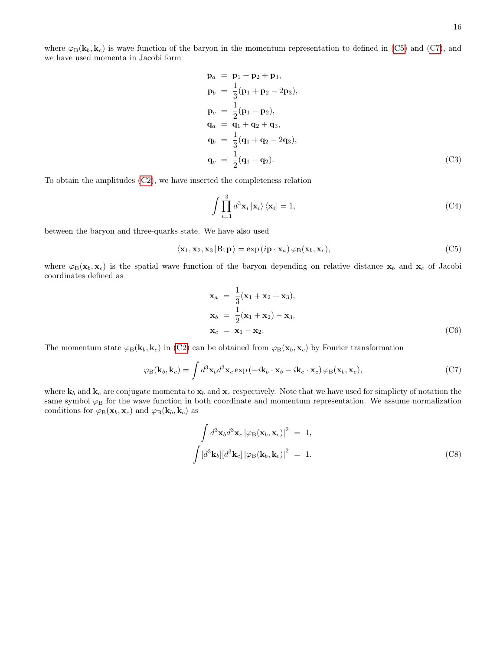where  $\varphi_B(\mathbf{k}_b, \mathbf{k}_c)$  is wave function of the baryon in the momentum representation to defined in [\(C5\)](#page-15-2) and [\(C7\)](#page-15-3), and we have used momenta in Jacobi form

<span id="page-15-0"></span>
$$
\mathbf{p}_a = \mathbf{p}_1 + \mathbf{p}_2 + \mathbf{p}_3, \n\mathbf{p}_b = \frac{1}{3} (\mathbf{p}_1 + \mathbf{p}_2 - 2\mathbf{p}_3), \n\mathbf{p}_c = \frac{1}{2} (\mathbf{p}_1 - \mathbf{p}_2), \n\mathbf{q}_a = \mathbf{q}_1 + \mathbf{q}_2 + \mathbf{q}_3, \n\mathbf{q}_b = \frac{1}{3} (\mathbf{q}_1 + \mathbf{q}_2 - 2\mathbf{q}_3), \n\mathbf{q}_c = \frac{1}{2} (\mathbf{q}_1 - \mathbf{q}_2).
$$
\n(C3)

To obtain the amplitudes [\(C2\)](#page-14-2), we have inserted the completeness relation

$$
\int \prod_{i=1}^{3} d^{3} \mathbf{x}_{i} | \mathbf{x}_{i} \rangle \langle \mathbf{x}_{i} | = 1,
$$
\n(C4)

between the baryon and three-quarks state. We have also used

<span id="page-15-2"></span>
$$
\langle \mathbf{x}_1, \mathbf{x}_2, \mathbf{x}_3 | B; \mathbf{p} \rangle = \exp(i\mathbf{p} \cdot \mathbf{x}_a) \varphi_B(\mathbf{x}_b, \mathbf{x}_c), \tag{C5}
$$

where  $\varphi_B(\mathbf{x}_b, \mathbf{x}_c)$  is the spatial wave function of the baryon depending on relative distance  $\mathbf{x}_b$  and  $\mathbf{x}_c$  of Jacobi coordinates defined as

<span id="page-15-1"></span>
$$
\mathbf{x}_a = \frac{1}{3}(\mathbf{x}_1 + \mathbf{x}_2 + \mathbf{x}_3),
$$
  
\n
$$
\mathbf{x}_b = \frac{1}{2}(\mathbf{x}_1 + \mathbf{x}_2) - \mathbf{x}_3,
$$
  
\n
$$
\mathbf{x}_c = \mathbf{x}_1 - \mathbf{x}_2.
$$
 (C6)

The momentum state  $\varphi_B(\mathbf{k}_b, \mathbf{k}_c)$  in [\(C2\)](#page-14-2) can be obtained from  $\varphi_B(\mathbf{x}_b, \mathbf{x}_c)$  by Fourier transformation

<span id="page-15-3"></span>
$$
\varphi_{\mathcal{B}}(\mathbf{k}_b, \mathbf{k}_c) = \int d^3 \mathbf{x}_b d^3 \mathbf{x}_c \exp(-i\mathbf{k}_b \cdot \mathbf{x}_b - i\mathbf{k}_c \cdot \mathbf{x}_c) \varphi_{\mathcal{B}}(\mathbf{x}_b, \mathbf{x}_c), \tag{C7}
$$

where  $k_b$  and  $k_c$  are conjugate momenta to  $x_b$  and  $x_c$  respectively. Note that we have used for simplicty of notation the same symbol  $\varphi_B$  for the wave function in both coordinate and momentum representation. We assume normalization conditions for  $\varphi_{\text{B}}(\mathbf{x}_b, \mathbf{x}_c)$  and  $\varphi_{\text{B}}(\mathbf{k}_b, \mathbf{k}_c)$  as

<span id="page-15-4"></span>
$$
\int d^3 \mathbf{x}_b d^3 \mathbf{x}_c |\varphi_B(\mathbf{x}_b, \mathbf{x}_c)|^2 = 1,
$$
  

$$
\int [d^3 \mathbf{k}_b] [d^3 \mathbf{k}_c] |\varphi_B(\mathbf{k}_b, \mathbf{k}_c)|^2 = 1.
$$
 (C8)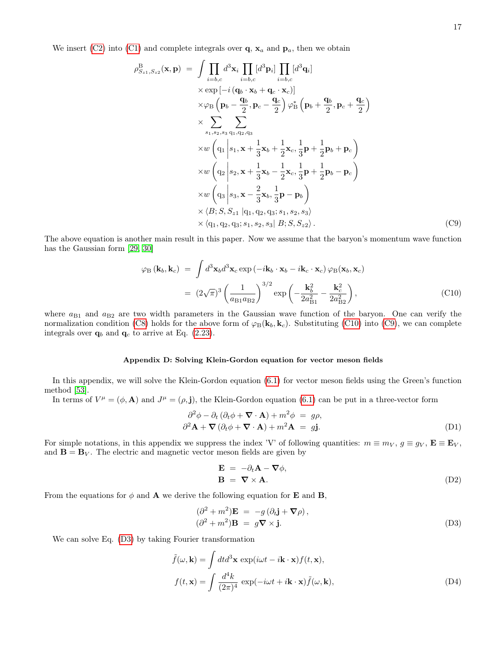We insert [\(C2\)](#page-14-2) into [\(C1\)](#page-14-3) and complete integrals over  $\mathbf{q}$ ,  $\mathbf{x}_a$  and  $\mathbf{p}_a$ , then we obtain

<span id="page-16-2"></span>
$$
\rho_{S_{z1},S_{z2}}^{\text{B}}(\mathbf{x},\mathbf{p}) = \int \prod_{i=b,c} d^{3} \mathbf{x}_{i} \prod_{i=b,c} [d^{3} \mathbf{p}_{i}] \prod_{i=b,c} [d^{3} \mathbf{q}_{i}]
$$
\n
$$
\times \exp[-i (\mathbf{q}_{b} \cdot \mathbf{x}_{b} + \mathbf{q}_{c} \cdot \mathbf{x}_{c})]
$$
\n
$$
\times \varphi_{\text{B}} (\mathbf{p}_{b} - \frac{\mathbf{q}_{b}}{2}, \mathbf{p}_{c} - \frac{\mathbf{q}_{c}}{2}) \varphi_{\text{B}}^{*} (\mathbf{p}_{b} + \frac{\mathbf{q}_{b}}{2}, \mathbf{p}_{c} + \frac{\mathbf{q}_{c}}{2})
$$
\n
$$
\times \sum_{s_{1},s_{2},s_{3}} \sum_{\text{q}_{1},\text{q}_{2},\text{q}_{3}}
$$
\n
$$
\times w (\mathbf{q}_{1} | s_{1}, \mathbf{x} + \frac{1}{3} \mathbf{x}_{b} + \frac{1}{2} \mathbf{x}_{c}, \frac{1}{3} \mathbf{p} + \frac{1}{2} \mathbf{p}_{b} + \mathbf{p}_{c})
$$
\n
$$
\times w (\mathbf{q}_{2} | s_{2}, \mathbf{x} + \frac{1}{3} \mathbf{x}_{b} - \frac{1}{2} \mathbf{x}_{c}, \frac{1}{3} \mathbf{p} + \frac{1}{2} \mathbf{p}_{b} - \mathbf{p}_{c})
$$
\n
$$
\times w (\mathbf{q}_{3} | s_{3}, \mathbf{x} - \frac{2}{3} \mathbf{x}_{b}, \frac{1}{3} \mathbf{p} - \mathbf{p}_{b})
$$
\n
$$
\times \langle B; S, S_{z1} | q_{1}, q_{2}, q_{3}; s_{1}, s_{2}, s_{3} \rangle
$$
\n
$$
\times \langle q_{1}, q_{2}, q_{3}; s_{1}, s_{2}, s_{3} | B; S, S_{z2} \rangle.
$$
\n(C9)

The above equation is another main result in this paper. Now we assume that the baryon's momentum wave function has the Gaussian form [\[29,](#page-18-17) [30\]](#page-18-18)

<span id="page-16-1"></span>
$$
\varphi_{\text{B}}\left(\mathbf{k}_{b}, \mathbf{k}_{c}\right) = \int d^{3} \mathbf{x}_{b} d^{3} \mathbf{x}_{c} \exp\left(-i\mathbf{k}_{b} \cdot \mathbf{x}_{b} - i\mathbf{k}_{c} \cdot \mathbf{x}_{c}\right) \varphi_{\text{B}}(\mathbf{x}_{b}, \mathbf{x}_{c})
$$

$$
= (2\sqrt{\pi})^{3} \left(\frac{1}{a_{\text{B1}} a_{\text{B2}}}\right)^{3/2} \exp\left(-\frac{\mathbf{k}_{b}^{2}}{2a_{\text{B1}}^{2}} - \frac{\mathbf{k}_{c}^{2}}{2a_{\text{B2}}^{2}}\right), \tag{C10}
$$

where  $a_{B1}$  and  $a_{B2}$  are two width parameters in the Gaussian wave function of the baryon. One can verify the normalization condition [\(C8\)](#page-15-4) holds for the above form of  $\varphi_B(\mathbf{k}_b, \mathbf{k}_c)$ . Substituting [\(C10\)](#page-16-1) into [\(C9\)](#page-16-2), we can complete integrals over  $\mathbf{q}_b$  and  $\mathbf{q}_c$  to arrive at Eq. [\(2.23\)](#page-4-0).

# <span id="page-16-0"></span>Appendix D: Solving Klein-Gordon equation for vector meson fields

In this appendix, we will solve the Klein-Gordon equation [\(6.1\)](#page-10-2) for vector meson fields using the Green's function method [\[53\]](#page-19-8).

In terms of  $V^{\mu} = (\phi, \mathbf{A})$  and  $J^{\mu} = (\rho, \mathbf{j})$ , the Klein-Gordon equation [\(6.1\)](#page-10-2) can be put in a three-vector form

$$
\partial^2 \phi - \partial_t (\partial_t \phi + \mathbf{\nabla} \cdot \mathbf{A}) + m^2 \phi = g\rho,
$$
  

$$
\partial^2 \mathbf{A} + \mathbf{\nabla} (\partial_t \phi + \mathbf{\nabla} \cdot \mathbf{A}) + m^2 \mathbf{A} = g\mathbf{j}.
$$
 (D1)

For simple notations, in this appendix we suppress the index 'V' of following quantities:  $m \equiv m_V$ ,  $g \equiv g_V$ ,  $\mathbf{E} \equiv \mathbf{E}_V$ , and  $\mathbf{B} = \mathbf{B}_V$ . The electric and magnetic vector meson fields are given by

$$
\mathbf{E} = -\partial_t \mathbf{A} - \nabla \phi,
$$
  

$$
\mathbf{B} = \nabla \times \mathbf{A}.
$$
 (D2)

From the equations for  $\phi$  and **A** we derive the following equation for **E** and **B**,

<span id="page-16-3"></span>
$$
(\partial^2 + m^2) \mathbf{E} = -g (\partial_t \mathbf{j} + \nabla \rho),
$$
  
\n
$$
(\partial^2 + m^2) \mathbf{B} = g \nabla \times \mathbf{j}.
$$
 (D3)

We can solve Eq. [\(D3\)](#page-16-3) by taking Fourier transformation

$$
\tilde{f}(\omega, \mathbf{k}) = \int dt d^3 \mathbf{x} \exp(i\omega t - i\mathbf{k} \cdot \mathbf{x}) f(t, \mathbf{x}),
$$
\n
$$
f(t, \mathbf{x}) = \int \frac{d^4 k}{(2\pi)^4} \exp(-i\omega t + i\mathbf{k} \cdot \mathbf{x}) \tilde{f}(\omega, \mathbf{k}),
$$
\n(D4)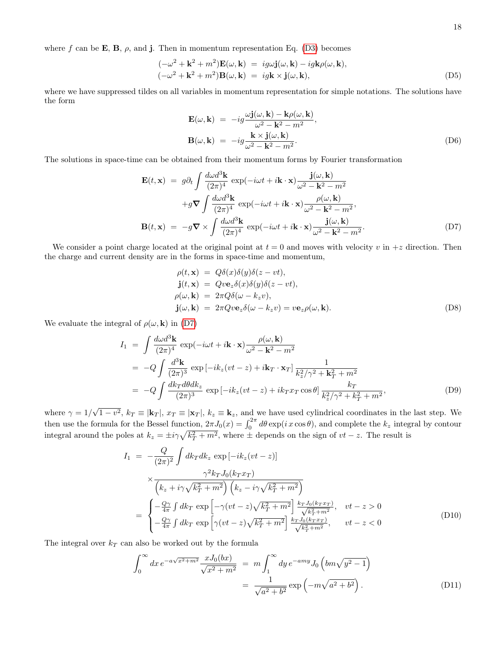where f can be **E**, **B**,  $\rho$ , and **j**. Then in momentum representation Eq. [\(D3\)](#page-16-3) becomes

$$
(-\omega^2 + \mathbf{k}^2 + m^2)\mathbf{E}(\omega, \mathbf{k}) = ig\omega \mathbf{j}(\omega, \mathbf{k}) - ig\mathbf{k}\rho(\omega, \mathbf{k}),
$$
  

$$
(-\omega^2 + \mathbf{k}^2 + m^2)\mathbf{B}(\omega, \mathbf{k}) = ig\mathbf{k} \times \mathbf{j}(\omega, \mathbf{k}),
$$
 (D5)

where we have suppressed tildes on all variables in momentum representation for simple notations. The solutions have the form

$$
\mathbf{E}(\omega, \mathbf{k}) = -ig \frac{\omega \mathbf{j}(\omega, \mathbf{k}) - \mathbf{k} \rho(\omega, \mathbf{k})}{\omega^2 - \mathbf{k}^2 - m^2},
$$
  
\n
$$
\mathbf{B}(\omega, \mathbf{k}) = -ig \frac{\mathbf{k} \times \mathbf{j}(\omega, \mathbf{k})}{\omega^2 - \mathbf{k}^2 - m^2}.
$$
 (D6)

The solutions in space-time can be obtained from their momentum forms by Fourier transformation

<span id="page-17-0"></span>
$$
\mathbf{E}(t, \mathbf{x}) = g\partial_t \int \frac{d\omega d^3 \mathbf{k}}{(2\pi)^4} \exp(-i\omega t + i\mathbf{k} \cdot \mathbf{x}) \frac{\mathbf{j}(\omega, \mathbf{k})}{\omega^2 - \mathbf{k}^2 - m^2} \n+ g \nabla \int \frac{d\omega d^3 \mathbf{k}}{(2\pi)^4} \exp(-i\omega t + i\mathbf{k} \cdot \mathbf{x}) \frac{\rho(\omega, \mathbf{k})}{\omega^2 - \mathbf{k}^2 - m^2},
$$
\n
$$
\mathbf{B}(t, \mathbf{x}) = -g \nabla \times \int \frac{d\omega d^3 \mathbf{k}}{(2\pi)^4} \exp(-i\omega t + i\mathbf{k} \cdot \mathbf{x}) \frac{\mathbf{j}(\omega, \mathbf{k})}{\omega^2 - \mathbf{k}^2 - m^2}.
$$
\n(D7)

We consider a point charge located at the original point at  $t = 0$  and moves with velocity v in  $+z$  direction. Then the charge and current density are in the forms in space-time and momentum,

$$
\rho(t, \mathbf{x}) = Q\delta(x)\delta(y)\delta(z - vt), \n\mathbf{j}(t, \mathbf{x}) = Qv\mathbf{e}_z\delta(x)\delta(y)\delta(z - vt), \n\rho(\omega, \mathbf{k}) = 2\pi Q\delta(\omega - k_z v), \n\mathbf{j}(\omega, \mathbf{k}) = 2\pi Qv\mathbf{e}_z\delta(\omega - k_z v) = v\mathbf{e}_z\rho(\omega, \mathbf{k}).
$$
\n(D8)

We evaluate the integral of  $\rho(\omega, \mathbf{k})$  in [\(D7\)](#page-17-0)

$$
I_1 = \int \frac{d\omega d^3 \mathbf{k}}{(2\pi)^4} \exp(-i\omega t + i\mathbf{k} \cdot \mathbf{x}) \frac{\rho(\omega, \mathbf{k})}{\omega^2 - \mathbf{k}^2 - m^2}
$$
  
=  $-Q \int \frac{d^3 \mathbf{k}}{(2\pi)^3} \exp[-ik_z(vt - z) + i\mathbf{k}_T \cdot \mathbf{x}_T] \frac{1}{k_z^2/\gamma^2 + \mathbf{k}_T^2 + m^2}$   
=  $-Q \int \frac{dk_T d\theta dk_z}{(2\pi)^3} \exp[-ik_z(vt - z) + ik_T x_T \cos\theta] \frac{k_T}{k_z^2/\gamma^2 + k_T^2 + m^2},$  (D9)

where  $\gamma = 1/$ √  $\overline{1-v^2}$ ,  $k_T \equiv |\mathbf{k}_T|$ ,  $x_T \equiv |\mathbf{x}_T|$ ,  $k_z \equiv \mathbf{k}_z$ , and we have used cylindrical coordinates in the last step. We then use the formula for the Bessel function,  $2\pi J_0(x) = \int_0^{2\pi} d\theta \exp(i x \cos \theta)$ , and complete the  $k_z$  integral by contour integral around the poles at  $k_z = \pm i\gamma \sqrt{k_T^2 + m^2}$ , where  $\pm$  depends on the sign of  $vt - z$ . The result is

$$
I_{1} = -\frac{Q}{(2\pi)^{2}} \int dk_{T} dk_{z} \exp\left[-ik_{z}(vt - z)\right]
$$
  
\n
$$
\times \frac{\gamma^{2} k_{T} J_{0}(k_{T} x_{T})}{\left(k_{z} + i\gamma\sqrt{k_{T}^{2} + m^{2}}\right) \left(k_{z} - i\gamma\sqrt{k_{T}^{2} + m^{2}}\right)}
$$
  
\n
$$
= \begin{cases}\n-\frac{Q\gamma}{4\pi} \int dk_{T} \exp\left[-\gamma(vt - z)\sqrt{k_{T}^{2} + m^{2}}\right] \frac{k_{T} J_{0}(k_{T} x_{T})}{\sqrt{k_{T}^{2} + m^{2}}}, & vt - z > 0 \\
-\frac{Q\gamma}{4\pi} \int dk_{T} \exp\left[\gamma(vt - z)\sqrt{k_{T}^{2} + m^{2}}\right] \frac{k_{T} J_{0}(k_{T} x_{T})}{\sqrt{k_{T}^{2} + m^{2}}}, & vt - z < 0\n\end{cases}
$$
\n(D10)

The integral over  $k_T$  can also be worked out by the formula

$$
\int_0^\infty dx \, e^{-a\sqrt{x^2 + m^2}} \frac{x J_0(bx)}{\sqrt{x^2 + m^2}} = m \int_1^\infty dy \, e^{-amy} J_0\left(bm\sqrt{y^2 - 1}\right)
$$
\n
$$
= \frac{1}{\sqrt{a^2 + b^2}} \exp\left(-m\sqrt{a^2 + b^2}\right). \tag{D11}
$$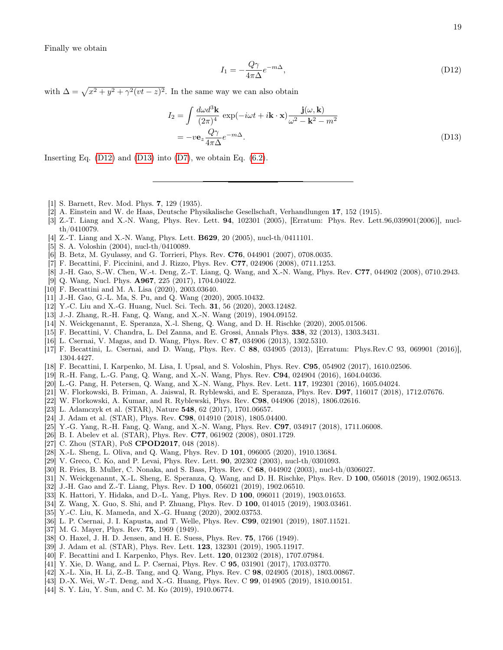Finally we obtain

<span id="page-18-32"></span><span id="page-18-31"></span>
$$
I_1 = -\frac{Q\gamma}{4\pi\Delta}e^{-m\Delta},\tag{D12}
$$

with  $\Delta = \sqrt{x^2 + y^2 + \gamma^2 (vt - z)^2}$ . In the same way we can also obtain

$$
I_2 = \int \frac{d\omega d^3 \mathbf{k}}{(2\pi)^4} \exp(-i\omega t + i\mathbf{k} \cdot \mathbf{x}) \frac{\mathbf{j}(\omega, \mathbf{k})}{\omega^2 - \mathbf{k}^2 - m^2}
$$
  
= 
$$
-v\mathbf{e}_z \frac{Q\gamma}{4\pi\Delta} e^{-m\Delta}.
$$
 (D13)

Inserting Eq.  $(D12)$  and  $(D13)$  into  $(D7)$ , we obtain Eq.  $(6.2)$ .

- <span id="page-18-0"></span>[1] S. Barnett, Rev. Mod. Phys. 7, 129 (1935).
- <span id="page-18-1"></span>[2] A. Einstein and W. de Haas, Deutsche Physikalische Gesellschaft, Verhandlungen 17, 152 (1915).
- <span id="page-18-2"></span>[3] Z.-T. Liang and X.-N. Wang, Phys. Rev. Lett. **94**, 102301 (2005), [Erratum: Phys. Rev. Lett.96,039901(2006)], nuclth/0410079.
- <span id="page-18-12"></span>[4] Z.-T. Liang and X.-N. Wang, Phys. Lett. B629, 20 (2005), nucl-th/0411101.
- [5] S. A. Voloshin (2004), nucl-th/0410089.
- [6] B. Betz, M. Gyulassy, and G. Torrieri, Phys. Rev. C76, 044901 (2007), 0708.0035.
- [7] F. Becattini, F. Piccinini, and J. Rizzo, Phys. Rev. C77, 024906 (2008), 0711.1253.
- <span id="page-18-3"></span>[8] J.-H. Gao, S.-W. Chen, W.-t. Deng, Z.-T. Liang, Q. Wang, and X.-N. Wang, Phys. Rev. C77, 044902 (2008), 0710.2943.
- <span id="page-18-4"></span>[9] Q. Wang, Nucl. Phys. A967, 225 (2017), 1704.04022.
- [10] F. Becattini and M. A. Lisa (2020), 2003.03640.
- [11] J.-H. Gao, G.-L. Ma, S. Pu, and Q. Wang (2020), 2005.10432.
- <span id="page-18-5"></span>[12] Y.-C. Liu and X.-G. Huang, Nucl. Sci. Tech. 31, 56 (2020), 2003.12482.
- <span id="page-18-6"></span>[13] J.-J. Zhang, R.-H. Fang, Q. Wang, and X.-N. Wang (2019), 1904.09152.
- <span id="page-18-7"></span>[14] N. Weickgenannt, E. Speranza, X.-l. Sheng, Q. Wang, and D. H. Rischke (2020), 2005.01506.
- <span id="page-18-8"></span>[15] F. Becattini, V. Chandra, L. Del Zanna, and E. Grossi, Annals Phys. 338, 32 (2013), 1303.3431.
- [16] L. Csernai, V. Magas, and D. Wang, Phys. Rev. C 87, 034906 (2013), 1302.5310.
- [17] F. Becattini, L. Csernai, and D. Wang, Phys. Rev. C 88, 034905 (2013), [Erratum: Phys.Rev.C 93, 069901 (2016)], 1304.4427.
- <span id="page-18-19"></span>[18] F. Becattini, I. Karpenko, M. Lisa, I. Upsal, and S. Voloshin, Phys. Rev. C95, 054902 (2017), 1610.02506.
- <span id="page-18-20"></span>[19] R.-H. Fang, L.-G. Pang, Q. Wang, and X.-N. Wang, Phys. Rev. C94, 024904 (2016), 1604.04036.
- [20] L.-G. Pang, H. Petersen, Q. Wang, and X.-N. Wang, Phys. Rev. Lett. 117, 192301 (2016), 1605.04024.
- [21] W. Florkowski, B. Friman, A. Jaiswal, R. Ryblewski, and E. Speranza, Phys. Rev. D97, 116017 (2018), 1712.07676.
- <span id="page-18-9"></span>[22] W. Florkowski, A. Kumar, and R. Ryblewski, Phys. Rev. C98, 044906 (2018), 1806.02616.
- <span id="page-18-10"></span>[23] L. Adamczyk et al. (STAR), Nature 548, 62 (2017), 1701.06657.
- <span id="page-18-11"></span>[24] J. Adam et al. (STAR), Phys. Rev. **C98**, 014910 (2018), 1805.04400.
- <span id="page-18-13"></span>[25] Y.-G. Yang, R.-H. Fang, Q. Wang, and X.-N. Wang, Phys. Rev. C97, 034917 (2018), 1711.06008.
- <span id="page-18-14"></span>[26] B. I. Abelev et al. (STAR), Phys. Rev. C77, 061902 (2008), 0801.1729.
- <span id="page-18-15"></span>[27] C. Zhou (STAR), PoS **CPOD2017**, 048 (2018).
- <span id="page-18-16"></span>[28] X.-L. Sheng, L. Oliva, and Q. Wang, Phys. Rev. D 101, 096005 (2020), 1910.13684.
- <span id="page-18-17"></span>[29] V. Greco, C. Ko, and P. Levai, Phys. Rev. Lett. **90**, 202302 (2003), nucl-th/0301093.
- <span id="page-18-18"></span>[30] R. Fries, B. Muller, C. Nonaka, and S. Bass, Phys. Rev. C 68, 044902 (2003), nucl-th/0306027.
- <span id="page-18-21"></span>[31] N. Weickgenannt, X.-L. Sheng, E. Speranza, Q. Wang, and D. H. Rischke, Phys. Rev. D 100, 056018 (2019), 1902.06513.
- [32] J.-H. Gao and Z.-T. Liang, Phys. Rev. D 100, 056021 (2019), 1902.06510.
- [33] K. Hattori, Y. Hidaka, and D.-L. Yang, Phys. Rev. D 100, 096011 (2019), 1903.01653.
- [34] Z. Wang, X. Guo, S. Shi, and P. Zhuang, Phys. Rev. D 100, 014015 (2019), 1903.03461.
- <span id="page-18-22"></span>[35] Y.-C. Liu, K. Mameda, and X.-G. Huang (2020), 2002.03753.
- <span id="page-18-23"></span>[36] L. P. Csernai, J. I. Kapusta, and T. Welle, Phys. Rev. C99, 021901 (2019), 1807.11521.
- <span id="page-18-24"></span>[37] M. G. Mayer, Phys. Rev. 75, 1969 (1949).
- <span id="page-18-25"></span>[38] O. Haxel, J. H. D. Jensen, and H. E. Suess, Phys. Rev. 75, 1766 (1949).
- <span id="page-18-26"></span>[39] J. Adam et al. (STAR), Phys. Rev. Lett. **123**, 132301 (2019), 1905.11917.
- <span id="page-18-27"></span>[40] F. Becattini and I. Karpenko, Phys. Rev. Lett. **120**, 012302 (2018), 1707.07984.
- <span id="page-18-28"></span>[41] Y. Xie, D. Wang, and L. P. Csernai, Phys. Rev. C 95, 031901 (2017), 1703.03770.
- [42] X.-L. Xia, H. Li, Z.-B. Tang, and Q. Wang, Phys. Rev. C 98, 024905 (2018), 1803.00867.
- <span id="page-18-29"></span>[43] D.-X. Wei, W.-T. Deng, and X.-G. Huang, Phys. Rev. C 99, 014905 (2019), 1810.00151.
- <span id="page-18-30"></span>[44] S. Y. Liu, Y. Sun, and C. M. Ko (2019), 1910.06774.